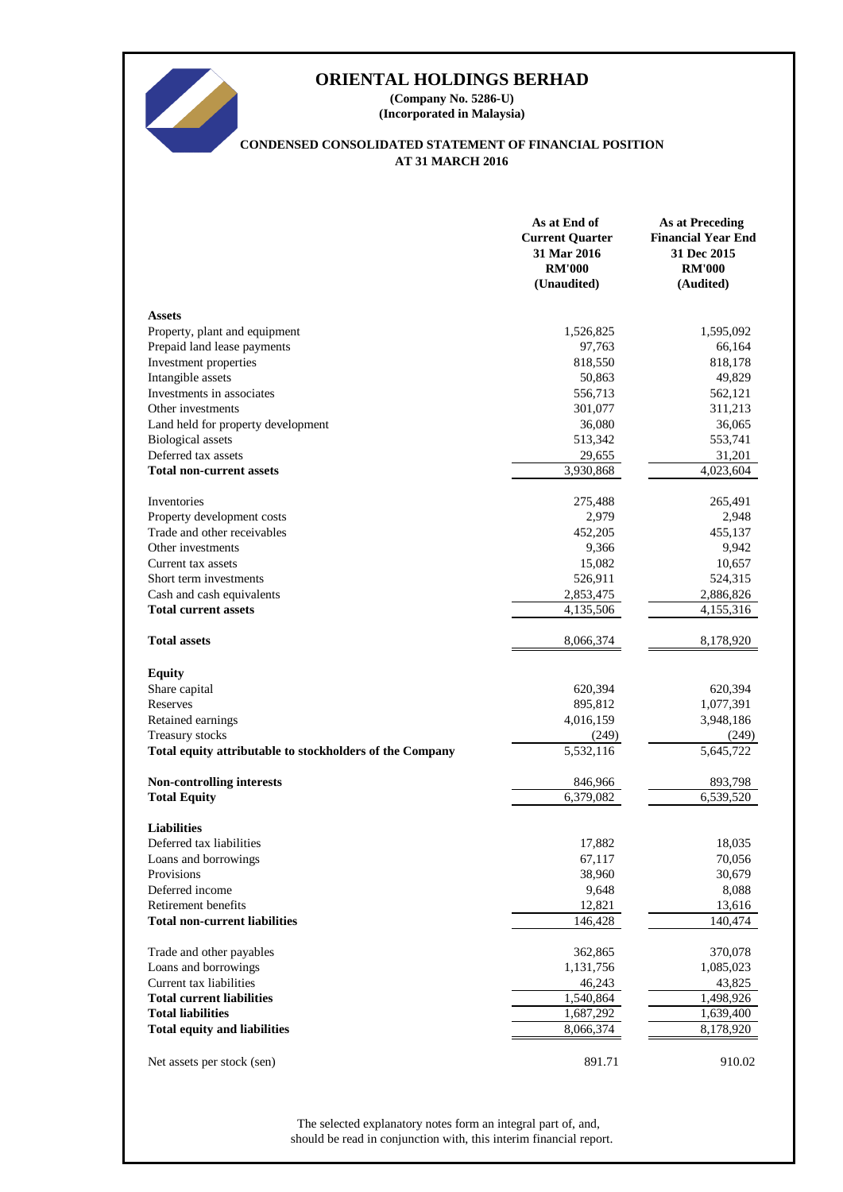# **ORIENTAL HOLDINGS BERHAD**

**(Company No. 5286-U) (Incorporated in Malaysia)**

## **CONDENSED CONSOLIDATED STATEMENT OF FINANCIAL POSITION AT 31 MARCH 2016**

|                                                          | As at End of<br><b>Current Quarter</b><br>31 Mar 2016<br><b>RM'000</b><br>(Unaudited) | <b>As at Preceding</b><br><b>Financial Year End</b><br>31 Dec 2015<br><b>RM'000</b><br>(Audited) |
|----------------------------------------------------------|---------------------------------------------------------------------------------------|--------------------------------------------------------------------------------------------------|
| <b>Assets</b>                                            |                                                                                       |                                                                                                  |
| Property, plant and equipment                            | 1,526,825                                                                             | 1,595,092                                                                                        |
| Prepaid land lease payments                              | 97,763                                                                                | 66,164                                                                                           |
| Investment properties                                    | 818,550                                                                               | 818,178                                                                                          |
| Intangible assets                                        | 50,863                                                                                | 49,829                                                                                           |
| Investments in associates                                | 556,713                                                                               | 562,121                                                                                          |
| Other investments                                        | 301,077                                                                               | 311,213                                                                                          |
| Land held for property development                       | 36,080                                                                                | 36,065                                                                                           |
| <b>Biological</b> assets                                 | 513,342                                                                               | 553,741                                                                                          |
| Deferred tax assets                                      | 29,655                                                                                | 31,201                                                                                           |
| <b>Total non-current assets</b>                          | 3,930,868                                                                             | 4,023,604                                                                                        |
|                                                          |                                                                                       |                                                                                                  |
| Inventories                                              | 275,488                                                                               | 265,491                                                                                          |
| Property development costs                               | 2,979                                                                                 | 2,948                                                                                            |
| Trade and other receivables                              | 452,205                                                                               | 455,137                                                                                          |
| Other investments                                        | 9,366                                                                                 | 9,942                                                                                            |
| Current tax assets                                       | 15,082                                                                                | 10,657                                                                                           |
| Short term investments                                   | 526,911                                                                               | 524,315                                                                                          |
| Cash and cash equivalents                                | 2,853,475                                                                             | 2,886,826                                                                                        |
| <b>Total current assets</b>                              | 4,135,506                                                                             | 4,155,316                                                                                        |
| <b>Total assets</b>                                      | 8,066,374                                                                             | 8,178,920                                                                                        |
| <b>Equity</b>                                            |                                                                                       |                                                                                                  |
| Share capital                                            | 620,394                                                                               | 620,394                                                                                          |
| Reserves                                                 | 895,812                                                                               | 1,077,391                                                                                        |
| Retained earnings                                        | 4,016,159                                                                             | 3,948,186                                                                                        |
| Treasury stocks                                          | (249)                                                                                 | (249)                                                                                            |
| Total equity attributable to stockholders of the Company | 5,532,116                                                                             | 5,645,722                                                                                        |
| <b>Non-controlling interests</b>                         | 846,966                                                                               | 893,798                                                                                          |
| <b>Total Equity</b>                                      | 6,379,082                                                                             | 6,539,520                                                                                        |
|                                                          |                                                                                       |                                                                                                  |
| <b>Liabilities</b>                                       |                                                                                       |                                                                                                  |
| Deferred tax liabilities                                 | 17,882                                                                                | 18,035                                                                                           |
| Loans and borrowings                                     | 67,117                                                                                | 70,056                                                                                           |
| Provisions                                               | 38,960                                                                                | 30,679                                                                                           |
| Deferred income                                          | 9,648                                                                                 | 8,088                                                                                            |
| Retirement benefits                                      | 12,821                                                                                | 13,616                                                                                           |
| <b>Total non-current liabilities</b>                     | 146,428                                                                               | 140,474                                                                                          |
| Trade and other payables                                 | 362,865                                                                               | 370,078                                                                                          |
| Loans and borrowings                                     | 1,131,756                                                                             | 1,085,023                                                                                        |
| Current tax liabilities                                  | 46,243                                                                                | 43,825                                                                                           |
| <b>Total current liabilities</b>                         | 1,540,864                                                                             | 1,498,926                                                                                        |
| <b>Total liabilities</b>                                 | 1,687,292                                                                             | 1,639,400                                                                                        |
| <b>Total equity and liabilities</b>                      | 8,066,374                                                                             | 8,178,920                                                                                        |
| Net assets per stock (sen)                               | 891.71                                                                                | 910.02                                                                                           |

should be read in conjunction with, this interim financial report. The selected explanatory notes form an integral part of, and,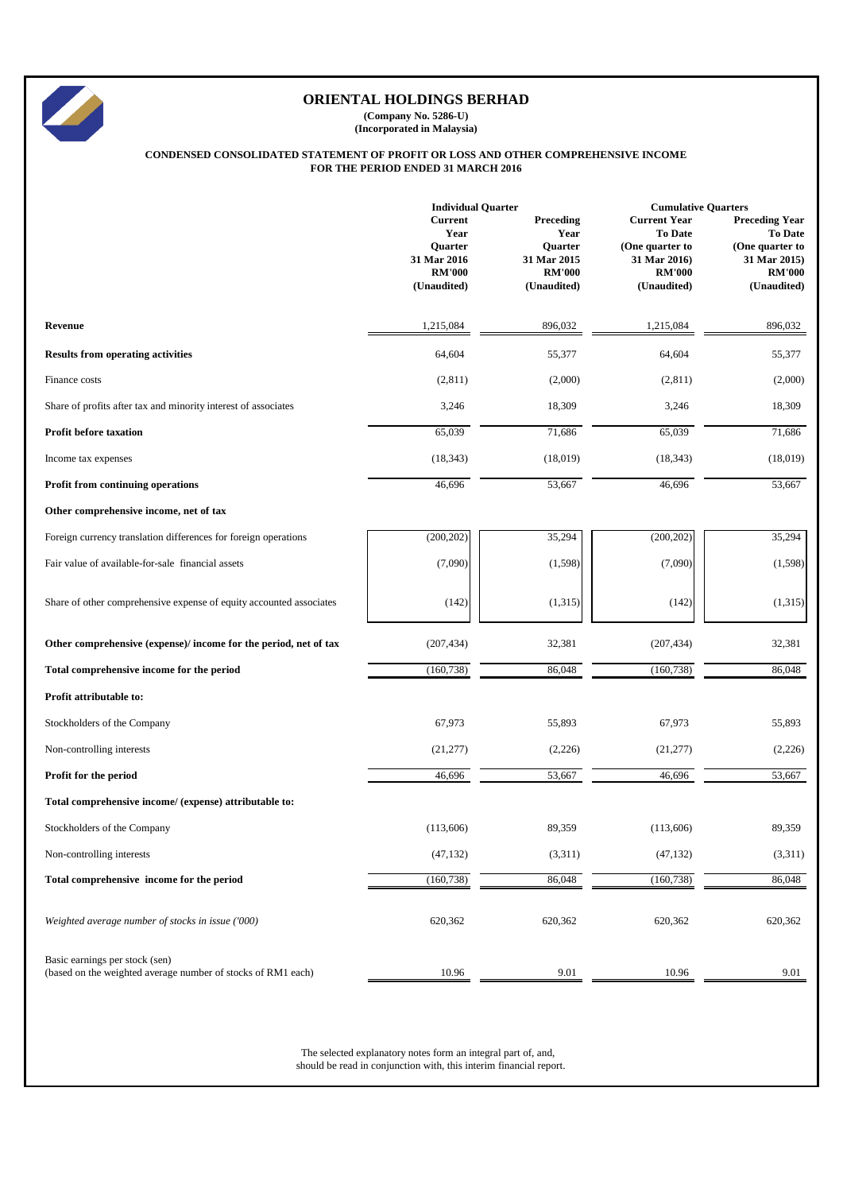|                                                                     | <b>Individual Quarter</b>                                                        |                                                                             | <b>Cumulative Quarters</b>                                                                        |                                                                                                            |  |
|---------------------------------------------------------------------|----------------------------------------------------------------------------------|-----------------------------------------------------------------------------|---------------------------------------------------------------------------------------------------|------------------------------------------------------------------------------------------------------------|--|
|                                                                     | <b>Current</b><br>Year<br>Quarter<br>31 Mar 2016<br><b>RM'000</b><br>(Unaudited) | Preceding<br>Year<br>Quarter<br>31 Mar 2015<br><b>RM'000</b><br>(Unaudited) | <b>Current Year</b><br>To Date<br>(One quarter to<br>31 Mar 2016)<br><b>RM'000</b><br>(Unaudited) | <b>Preceding Year</b><br><b>To Date</b><br>(One quarter to<br>31 Mar 2015)<br><b>RM'000</b><br>(Unaudited) |  |
| Revenue                                                             | 1,215,084                                                                        | 896,032                                                                     | 1,215,084                                                                                         | 896,032                                                                                                    |  |
| <b>Results from operating activities</b>                            | 64,604                                                                           | 55,377                                                                      | 64,604                                                                                            | 55,377                                                                                                     |  |
| Finance costs                                                       | (2,811)                                                                          | (2,000)                                                                     | (2,811)                                                                                           | (2,000)                                                                                                    |  |
| Share of profits after tax and minority interest of associates      | 3,246                                                                            | 18,309                                                                      | 3,246                                                                                             | 18,309                                                                                                     |  |
| <b>Profit before taxation</b>                                       | 65,039                                                                           | 71,686                                                                      | 65,039                                                                                            | 71,686                                                                                                     |  |
| Income tax expenses                                                 | (18, 343)                                                                        | (18,019)                                                                    | (18, 343)                                                                                         | (18,019)                                                                                                   |  |
| Profit from continuing operations                                   | 46,696                                                                           | 53,667                                                                      | 46,696                                                                                            | 53,667                                                                                                     |  |
| Other comprehensive income, net of tax                              |                                                                                  |                                                                             |                                                                                                   |                                                                                                            |  |
| Foreign currency translation differences for foreign operations     | (200, 202)                                                                       | 35,294                                                                      | (200, 202)                                                                                        | 35,294                                                                                                     |  |
| Fair value of available-for-sale financial assets                   | (7,090)                                                                          | (1,598)                                                                     | (7,090)                                                                                           | (1,598)                                                                                                    |  |
| Share of other comprehensive expense of equity accounted associates | (142)                                                                            | (1,315)                                                                     | (142)                                                                                             | (1,315)                                                                                                    |  |
| Other comprehensive (expense)/ income for the period, net of tax    | (207, 434)                                                                       | 32,381                                                                      | (207, 434)                                                                                        | 32,381                                                                                                     |  |
| Total comprehensive income for the period                           | (160, 738)                                                                       | 86,048                                                                      | (160, 738)                                                                                        | 86,048                                                                                                     |  |
| Profit attributable to:                                             |                                                                                  |                                                                             |                                                                                                   |                                                                                                            |  |
| Stockholders of the Company                                         | 67,973                                                                           | 55,893                                                                      | 67,973                                                                                            | 55,893                                                                                                     |  |
| Non-controlling interests                                           | (21, 277)                                                                        | (2,226)                                                                     | (21, 277)                                                                                         | (2,226)                                                                                                    |  |
| Profit for the period                                               | 46,696                                                                           | 53,667                                                                      | 46,696                                                                                            | 53,667                                                                                                     |  |
| Total comprehensive income/ (expense) attributable to:              |                                                                                  |                                                                             |                                                                                                   |                                                                                                            |  |
| Stockholders of the Company                                         | (113,606)                                                                        | 89,359                                                                      | (113,606)                                                                                         | 89,359                                                                                                     |  |
| Non-controlling interests                                           | (47, 132)                                                                        | (3,311)                                                                     | (47, 132)                                                                                         | (3,311)                                                                                                    |  |
| Total comprehensive income for the period                           | (160, 738)                                                                       | 86,048                                                                      | (160, 738)                                                                                        | 86,048                                                                                                     |  |
| Weighted average number of stocks in issue ('000)                   | 620,362                                                                          | 620,362                                                                     | 620,362                                                                                           | 620,362                                                                                                    |  |





# **ORIENTAL HOLDINGS BERHAD**

**(Company No. 5286-U) (Incorporated in Malaysia)**

#### **CONDENSED CONSOLIDATED STATEMENT OF PROFIT OR LOSS AND OTHER COMPREHENSIVE INCOME FOR THE PERIOD ENDED 31 MARCH 2016**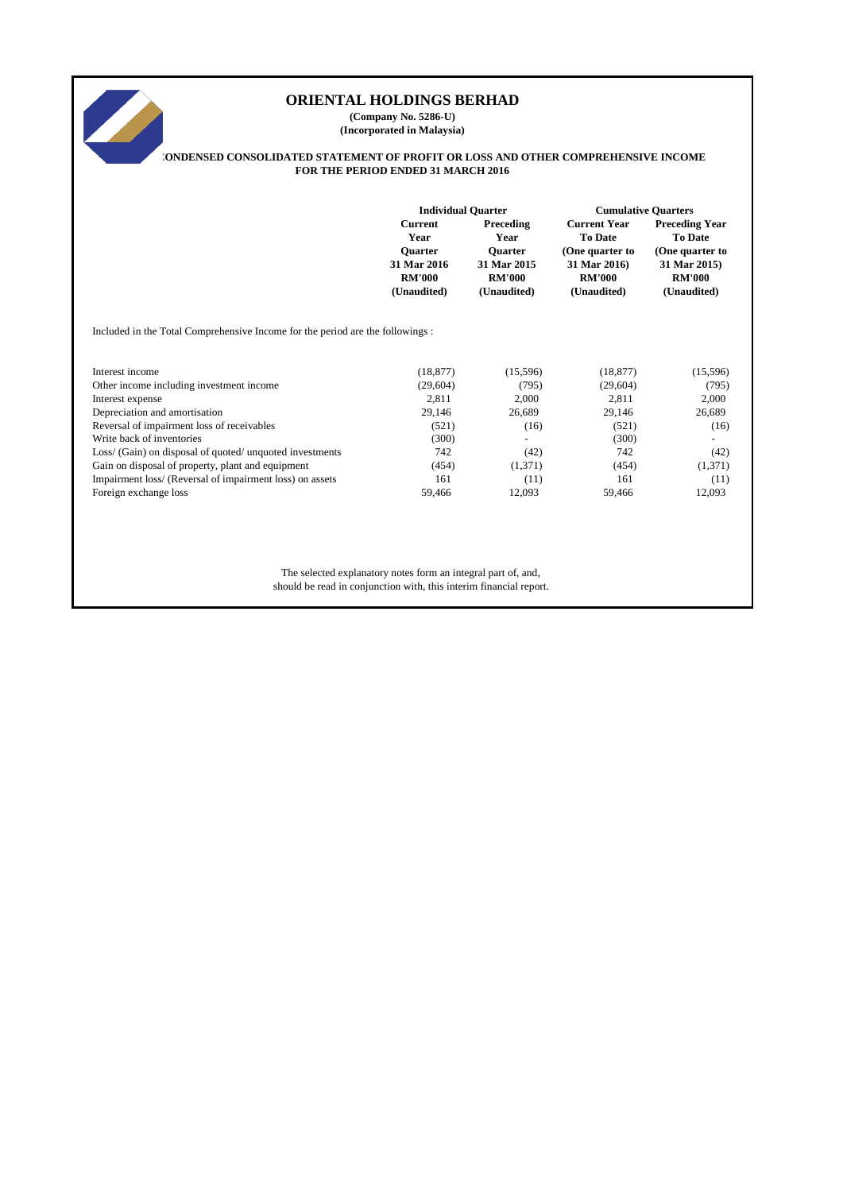# 

# **ORIENTAL HOLDINGS BERHAD**

**(Company No. 5286-U) (Incorporated in Malaysia)**

# **CONDENSED CONSOLIDATED STATEMENT OF PROFIT OR LOSS AND OTHER COMPREHENSIVE INCOME FOR THE PERIOD ENDED 31 MARCH 2016**

|                                                                                | <b>Individual Quarter</b>                                     |               | <b>Cumulative Quarters</b> |                       |  |  |
|--------------------------------------------------------------------------------|---------------------------------------------------------------|---------------|----------------------------|-----------------------|--|--|
|                                                                                | <b>Current</b>                                                | Preceding     | <b>Current Year</b>        | <b>Preceding Year</b> |  |  |
|                                                                                | Year                                                          | Year          | <b>To Date</b>             | <b>To Date</b>        |  |  |
|                                                                                | Quarter                                                       | Quarter       | (One quarter to            | (One quarter to       |  |  |
|                                                                                | 31 Mar 2016                                                   | 31 Mar 2015   | 31 Mar 2016)               | 31 Mar 2015)          |  |  |
|                                                                                | <b>RM'000</b>                                                 | <b>RM'000</b> | <b>RM'000</b>              | <b>RM'000</b>         |  |  |
|                                                                                | (Unaudited)                                                   | (Unaudited)   | (Unaudited)                | (Unaudited)           |  |  |
| Included in the Total Comprehensive Income for the period are the followings : |                                                               |               |                            |                       |  |  |
|                                                                                |                                                               |               |                            |                       |  |  |
| Interest income                                                                | (18, 877)                                                     | (15,596)      | (18, 877)                  | (15,596)              |  |  |
| Other income including investment income                                       | (29, 604)                                                     | (795)         | (29,604)                   | (795)                 |  |  |
| Interest expense                                                               | 2,811                                                         | 2,000         | 2,811                      | 2,000                 |  |  |
| Depreciation and amortisation                                                  | 29,146                                                        | 26,689        | 29,146                     | 26,689                |  |  |
| Reversal of impairment loss of receivables                                     | (521)                                                         | (16)          | (521)                      | (16)                  |  |  |
| Write back of inventories                                                      | (300)                                                         |               | (300)                      |                       |  |  |
| Loss/ (Gain) on disposal of quoted/ unquoted investments                       | 742                                                           | (42)          | 742                        | (42)                  |  |  |
| Gain on disposal of property, plant and equipment                              | (454)                                                         | (1,371)       | (454)                      | (1,371)               |  |  |
| Impairment loss/ (Reversal of impairment loss) on assets                       | 161                                                           | (11)          | 161                        | (11)                  |  |  |
| Foreign exchange loss                                                          | 59,466                                                        | 12,093        | 59,466                     | 12,093                |  |  |
|                                                                                |                                                               |               |                            |                       |  |  |
|                                                                                |                                                               |               |                            |                       |  |  |
|                                                                                |                                                               |               |                            |                       |  |  |
|                                                                                | The selected explanatory notes form an integral part of, and, |               |                            |                       |  |  |
| should be read in conjunction with, this interim financial report.             |                                                               |               |                            |                       |  |  |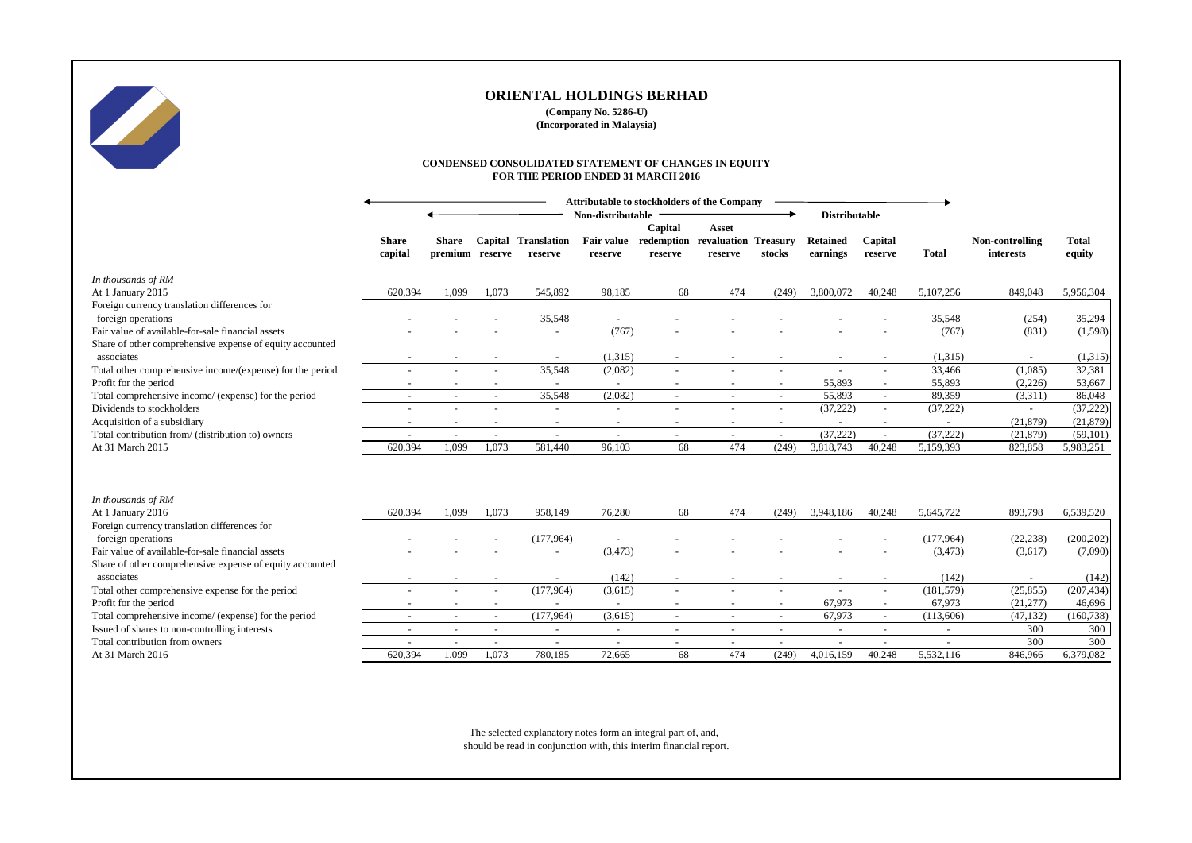|                                                           | <b>Attributable to stockholders of the Company</b> |                                 |                          |                                       |                          |                    |                                                                |        |                             |                          |              |                                     |                        |
|-----------------------------------------------------------|----------------------------------------------------|---------------------------------|--------------------------|---------------------------------------|--------------------------|--------------------|----------------------------------------------------------------|--------|-----------------------------|--------------------------|--------------|-------------------------------------|------------------------|
|                                                           |                                                    |                                 |                          | Non-distributable                     |                          |                    |                                                                |        | <b>Distributable</b>        |                          |              |                                     |                        |
|                                                           | <b>Share</b><br>capital                            | <b>Share</b><br>premium reserve |                          | <b>Capital Translation</b><br>reserve | reserve                  | Capital<br>reserve | Asset<br>Fair value redemption revaluation Treasury<br>reserve | stocks | <b>Retained</b><br>earnings | Capital<br>reserve       | <b>Total</b> | Non-controlling<br><i>interests</i> | <b>Total</b><br>equity |
| In thousands of RM                                        |                                                    |                                 |                          |                                       |                          |                    |                                                                |        |                             |                          |              |                                     |                        |
| At 1 January 2015                                         | 620,394                                            | 1,099                           | 1,073                    | 545,892                               | 98,185                   | 68                 | 474                                                            | (249)  | 3,800,072                   | 40,248                   | 5,107,256    | 849,048                             | 5,956,304              |
| Foreign currency translation differences for              |                                                    |                                 |                          |                                       |                          |                    |                                                                |        |                             |                          |              |                                     |                        |
| foreign operations                                        |                                                    |                                 |                          | 35,548                                |                          |                    |                                                                |        |                             |                          | 35,548       | (254)                               | 35,294                 |
| Fair value of available-for-sale financial assets         |                                                    |                                 |                          | $\overline{\phantom{a}}$              | (767)                    |                    |                                                                |        |                             |                          | (767)        | (831)                               | (1, 598)               |
| Share of other comprehensive expense of equity accounted  |                                                    |                                 |                          |                                       |                          |                    |                                                                |        |                             |                          |              |                                     |                        |
| associates                                                |                                                    |                                 |                          |                                       | (1,315)                  |                    |                                                                |        |                             |                          | (1,315)      |                                     | (1,315)                |
| Total other comprehensive income/(expense) for the period |                                                    |                                 |                          | 35,548                                | (2,082)                  |                    |                                                                |        |                             |                          | 33,466       | (1,085)                             | 32,381                 |
| Profit for the period                                     |                                                    |                                 |                          |                                       |                          |                    |                                                                |        | 55,893                      |                          | 55,893       | (2,226)                             | 53,667                 |
| Total comprehensive income/ (expense) for the period      | $\overline{\phantom{a}}$                           |                                 | $\blacksquare$           | 35,548                                | (2,082)                  | $\sim$             | $\sim$                                                         | $\sim$ | 55,893                      | $\overline{\phantom{a}}$ | 89,359       | (3,311)                             | 86,048                 |
| Dividends to stockholders                                 |                                                    |                                 |                          |                                       |                          |                    |                                                                |        | (37, 222)                   | $\blacksquare$           | (37, 222)    |                                     | (37, 222)              |
| Acquisition of a subsidiary                               |                                                    |                                 | $\overline{\phantom{a}}$ | $\sim$                                | $\overline{\phantom{a}}$ | $\sim$             |                                                                |        | $\sim$                      | $\sim$                   | $\sim$       | (21,879)                            | (21, 879)              |
| Total contribution from/ (distribution to) owners         |                                                    |                                 |                          | $\blacksquare$                        |                          |                    |                                                                |        | (37, 222)                   | $\sim$                   | (37, 222)    | (21, 879)                           | (59, 101)              |
| At 31 March 2015                                          | 620,394                                            | 1,099                           | 1,073                    | 581,440                               | 96,103                   | 68                 | 474                                                            | (249)  | 3,818,743                   | 40,248                   | 5,159,393    | 823,858                             | 5,983,251              |
|                                                           |                                                    |                                 |                          |                                       |                          |                    |                                                                |        |                             |                          |              |                                     |                        |
| In thousands of RM                                        |                                                    |                                 |                          |                                       |                          |                    |                                                                |        |                             |                          |              |                                     |                        |
| At 1 January 2016                                         | 620,394                                            | 1,099                           | 1,073                    | 958,149                               | 76,280                   | 68                 | 474                                                            | (249)  | 3,948,186                   | 40,248                   | 5,645,722    | 893,798                             | 6,539,520              |
| Foreign currency translation differences for              |                                                    |                                 |                          |                                       |                          |                    |                                                                |        |                             |                          |              |                                     |                        |
| foreign operations                                        |                                                    |                                 |                          | (177,964)                             |                          |                    |                                                                |        |                             |                          | (177,964)    | (22, 238)                           | (200, 202)             |
| Fair value of available-for-sale financial assets         |                                                    |                                 |                          |                                       | (3, 473)                 |                    |                                                                |        |                             |                          | (3, 473)     | (3,617)                             | (7,090)                |
| Share of other comprehensive expense of equity accounted  |                                                    |                                 |                          |                                       |                          |                    |                                                                |        |                             |                          |              |                                     |                        |
| associates                                                |                                                    |                                 |                          |                                       | (142)                    |                    |                                                                |        |                             |                          | (142)        |                                     | (142)                  |
| Total other comprehensive expense for the period          |                                                    |                                 |                          | (177,964)                             | (3,615)                  |                    |                                                                |        |                             | $\sim$                   | (181, 579)   | (25, 855)                           | (207, 434)             |
| Profit for the period                                     |                                                    |                                 |                          |                                       |                          |                    |                                                                |        | 67,973                      |                          | 67,973       | (21, 277)                           | 46,696                 |
| Total comprehensive income/ (expense) for the period      | $\blacksquare$                                     |                                 | $\sim$                   | (177, 964)                            | (3,615)                  | $\sim$             |                                                                |        | 67,973                      | $\sim$                   | (113,606)    | (47, 132)                           | (160, 738)             |
| Issued of shares to non-controlling interests             |                                                    |                                 |                          | $\overline{\phantom{a}}$              | $\sim$                   | $\sim$             | $\sim$                                                         |        | $\sim$                      | $\sim$                   |              | 300                                 | 300                    |
| Total contribution from owners                            |                                                    |                                 |                          | $\sim$                                |                          | $\sim$             |                                                                |        |                             | $\overline{\phantom{a}}$ |              | 300                                 | 300                    |
| At 31 March 2016                                          | 620,394                                            | 1,099                           | 1,073                    | 780,185                               | 72,665                   | 68                 | 474                                                            | (249)  | 4,016,159                   | 40,248                   | 5,532,116    | 846,966                             | 6,379,082              |

|                                                                                          |                         |                                 |        |                                       | Non-distributable |         |                                                       |                          | <b>Distributable</b>        |                    |              |                              |                        |
|------------------------------------------------------------------------------------------|-------------------------|---------------------------------|--------|---------------------------------------|-------------------|---------|-------------------------------------------------------|--------------------------|-----------------------------|--------------------|--------------|------------------------------|------------------------|
|                                                                                          |                         |                                 |        |                                       |                   | Capital | <b>Asset</b>                                          |                          |                             |                    |              |                              |                        |
|                                                                                          | <b>Share</b><br>capital | <b>Share</b><br>premium reserve |        | <b>Capital Translation</b><br>reserve | reserve           | reserve | Fair value redemption revaluation Treasury<br>reserve | stocks                   | <b>Retained</b><br>earnings | Capital<br>reserve | <b>Total</b> | Non-controlling<br>interests | <b>Total</b><br>equity |
| ds of RM                                                                                 |                         |                                 |        |                                       |                   |         |                                                       |                          |                             |                    |              |                              |                        |
| ry 2015                                                                                  | 620,394                 | 1,099                           | 1,073  | 545,892                               | 98,185            | 68      | 474                                                   | (249)                    | 3,800,072                   | 40,248             | 5,107,256    | 849,048                      | 5,956,304              |
| rrency translation differences for                                                       |                         |                                 |        |                                       |                   |         |                                                       |                          |                             |                    |              |                              |                        |
| perations                                                                                |                         |                                 |        | 35,548                                |                   |         |                                                       |                          |                             |                    | 35,548       | (254)                        | 35,294                 |
| of available-for-sale financial assets                                                   |                         |                                 |        |                                       | (767)             |         |                                                       |                          |                             |                    | (767)        | (831)                        | (1, 598)               |
| ther comprehensive expense of equity accounted                                           |                         |                                 |        |                                       |                   |         |                                                       |                          |                             |                    |              |                              |                        |
|                                                                                          |                         | $\sim$                          |        | $\sim$                                | (1,315)           | $\sim$  |                                                       | $\sim$                   | $\sim$                      | $\sim$             | (1,315)      |                              | (1,315)                |
| r comprehensive income/(expense) for the period                                          |                         |                                 |        | 35,548                                | (2,082)           |         |                                                       |                          | $\sim$                      |                    | 33,466       | (1,085)                      | 32,381                 |
| he period                                                                                |                         |                                 |        |                                       |                   |         |                                                       |                          | 55,893                      |                    | 55,893       | (2,226)                      | 53,667                 |
| prehensive income/ (expense) for the period                                              |                         |                                 |        | 35,548                                | (2,082)           |         |                                                       |                          | 55,893                      |                    | 89,359       | (3,311)                      | 86,048                 |
| to stockholders                                                                          |                         |                                 |        |                                       |                   |         |                                                       |                          | (37, 222)                   |                    | (37,222)     |                              | (37, 222)              |
| n of a subsidiary                                                                        |                         |                                 |        | $\sim$                                |                   |         |                                                       |                          |                             |                    |              | (21, 879)                    | (21, 879)              |
| ribution from/ (distribution to) owners                                                  |                         |                                 |        |                                       |                   |         |                                                       |                          | (37, 222)                   |                    | (37,222)     | (21, 879)                    | (59,101)               |
| ch 2015                                                                                  | 620,394                 | 1,099                           | 1,073  | 581,440                               | 96,103            | 68      | 474                                                   | (249)                    | 3,818,743                   | 40,248             | 5,159,393    | 823,858                      | 5,983,251              |
| $ds$ of $RM$                                                                             |                         |                                 |        |                                       |                   |         |                                                       |                          |                             |                    |              |                              |                        |
| ry 2016                                                                                  | 620,394                 | 1,099                           | 1,073  | 958,149                               | 76,280            | 68      | 474                                                   | (249)                    | 3,948,186                   | 40,248             | 5,645,722    | 893,798                      | 6,539,520              |
| rrency translation differences for                                                       |                         |                                 |        |                                       |                   |         |                                                       |                          |                             |                    |              |                              |                        |
| perations                                                                                |                         |                                 |        | (177,964)                             |                   |         |                                                       |                          |                             |                    | (177,964)    | (22, 238)                    | (200, 202)             |
| of available-for-sale financial assets<br>ther comprehensive expense of equity accounted |                         |                                 |        |                                       | (3, 473)          |         |                                                       |                          |                             |                    | (3, 473)     | (3,617)                      | (7,090)                |
|                                                                                          |                         |                                 |        |                                       | (142)             | $\sim$  |                                                       | $\sim$                   |                             |                    | (142)        |                              | (142)                  |
| r comprehensive expense for the period                                                   |                         |                                 |        | (177,964)                             | (3,615)           | $\sim$  |                                                       |                          | $\sim$                      |                    | (181, 579)   | (25, 855)                    | (207, 434)             |
| he period                                                                                |                         |                                 |        |                                       | $\sim$            | $\sim$  |                                                       |                          | 67,973                      |                    | 67,973       | (21, 277)                    | 46,696                 |
| prehensive income/ (expense) for the period                                              | $\blacksquare$          | $\blacksquare$                  | $\sim$ | (177, 964)                            | (3,615)           | $\sim$  |                                                       |                          | 67,973                      | $\blacksquare$     | (113,606)    | (47, 132)                    | (160, 738)             |
| hares to non-controlling interests                                                       |                         | $\overline{\phantom{a}}$        |        | $\sim$                                |                   | $\sim$  | $\sim$                                                | $\sim$                   | $\sim$                      |                    | $\sim$       | 300                          | 300                    |
|                                                                                          |                         |                                 |        |                                       | $\sim$            |         |                                                       | $\overline{\phantom{a}}$ |                             |                    |              | 300                          |                        |
| ribution from owners<br>ch 2016                                                          | 620,394                 | 1,099                           | 1,073  | 780,185                               | 72,665            | 68      | 474                                                   | (249)                    | 4,016,159                   | 40,248             | 5,532,116    | 846,966                      | 300<br>6,379,082       |
|                                                                                          |                         |                                 |        |                                       |                   |         |                                                       |                          |                             |                    |              |                              |                        |

The selected explanatory notes form an integral part of, and, should be read in conjunction with, this interim financial report.



# **ORIENTAL HOLDINGS BERHAD**

**(Company No. 5286-U) (Incorporated in Malaysia)**

# **CONDENSED CONSOLIDATED STATEMENT OF CHANGES IN EQUITY FOR THE PERIOD ENDED 31 MARCH 2016**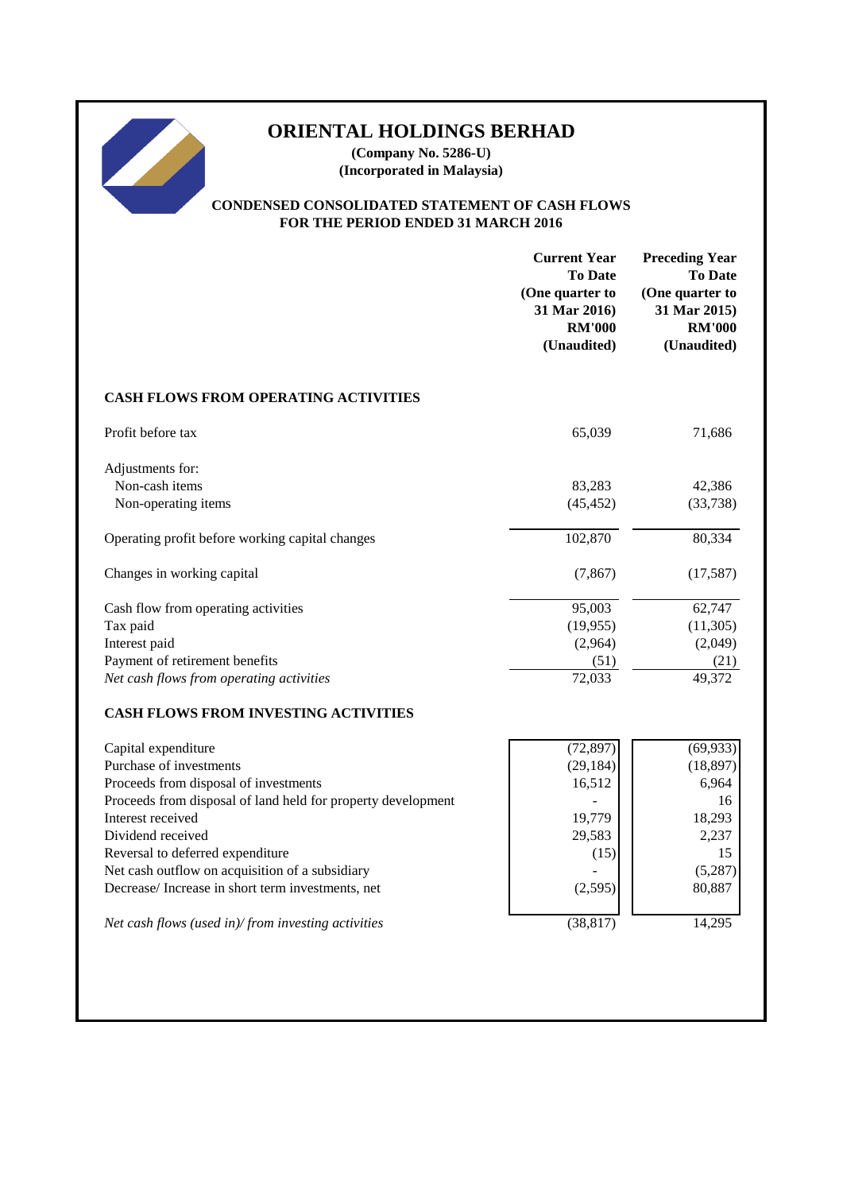# **ORIENTAL HOLDINGS BERHAD**

**(Company No. 5286-U) (Incorporated in Malaysia)**

## **CONDENSED CONSOLIDATED STATEMENT OF CASH FLOWS FOR THE PERIOD ENDED 31 MARCH 2016**

|                                                              | <b>Current Year</b><br><b>To Date</b><br>(One quarter to<br>31 Mar 2016)<br><b>RM'000</b><br>(Unaudited) | <b>Preceding Year</b><br><b>To Date</b><br>(One quarter to<br>31 Mar 2015)<br><b>RM'000</b><br>(Unaudited) |
|--------------------------------------------------------------|----------------------------------------------------------------------------------------------------------|------------------------------------------------------------------------------------------------------------|
| <b>CASH FLOWS FROM OPERATING ACTIVITIES</b>                  |                                                                                                          |                                                                                                            |
| Profit before tax                                            | 65,039                                                                                                   | 71,686                                                                                                     |
| Adjustments for:                                             |                                                                                                          |                                                                                                            |
| Non-cash items                                               | 83,283                                                                                                   | 42,386                                                                                                     |
| Non-operating items                                          | (45, 452)                                                                                                | (33, 738)                                                                                                  |
| Operating profit before working capital changes              | 102,870                                                                                                  | 80,334                                                                                                     |
| Changes in working capital                                   | (7, 867)                                                                                                 | (17, 587)                                                                                                  |
| Cash flow from operating activities                          | 95,003                                                                                                   | 62,747                                                                                                     |
| Tax paid                                                     | (19, 955)                                                                                                | (11, 305)                                                                                                  |
| Interest paid                                                | (2,964)                                                                                                  | (2,049)                                                                                                    |
| Payment of retirement benefits                               | (51)                                                                                                     | (21)                                                                                                       |
| Net cash flows from operating activities                     | 72,033                                                                                                   | 49,372                                                                                                     |
| <b>CASH FLOWS FROM INVESTING ACTIVITIES</b>                  |                                                                                                          |                                                                                                            |
| Capital expenditure                                          | (72, 897)                                                                                                | (69, 933)                                                                                                  |
| Purchase of investments                                      | (29, 184)                                                                                                | (18, 897)                                                                                                  |
| Proceeds from disposal of investments                        | 16,512                                                                                                   | 6,964                                                                                                      |
| Proceeds from disposal of land held for property development |                                                                                                          | 16                                                                                                         |
| Interest received                                            | 19,779                                                                                                   | 18,293                                                                                                     |
| Dividend received                                            | 29,583                                                                                                   | 2,237                                                                                                      |
| Reversal to deferred expenditure                             | (15)                                                                                                     | 15                                                                                                         |
| Net cash outflow on acquisition of a subsidiary              |                                                                                                          | (5,287)                                                                                                    |
| Decrease/Increase in short term investments, net             | (2,595)                                                                                                  | 80,887                                                                                                     |
| Net cash flows (used in)/from investing activities           | (38, 817)                                                                                                | 14,295                                                                                                     |
|                                                              |                                                                                                          |                                                                                                            |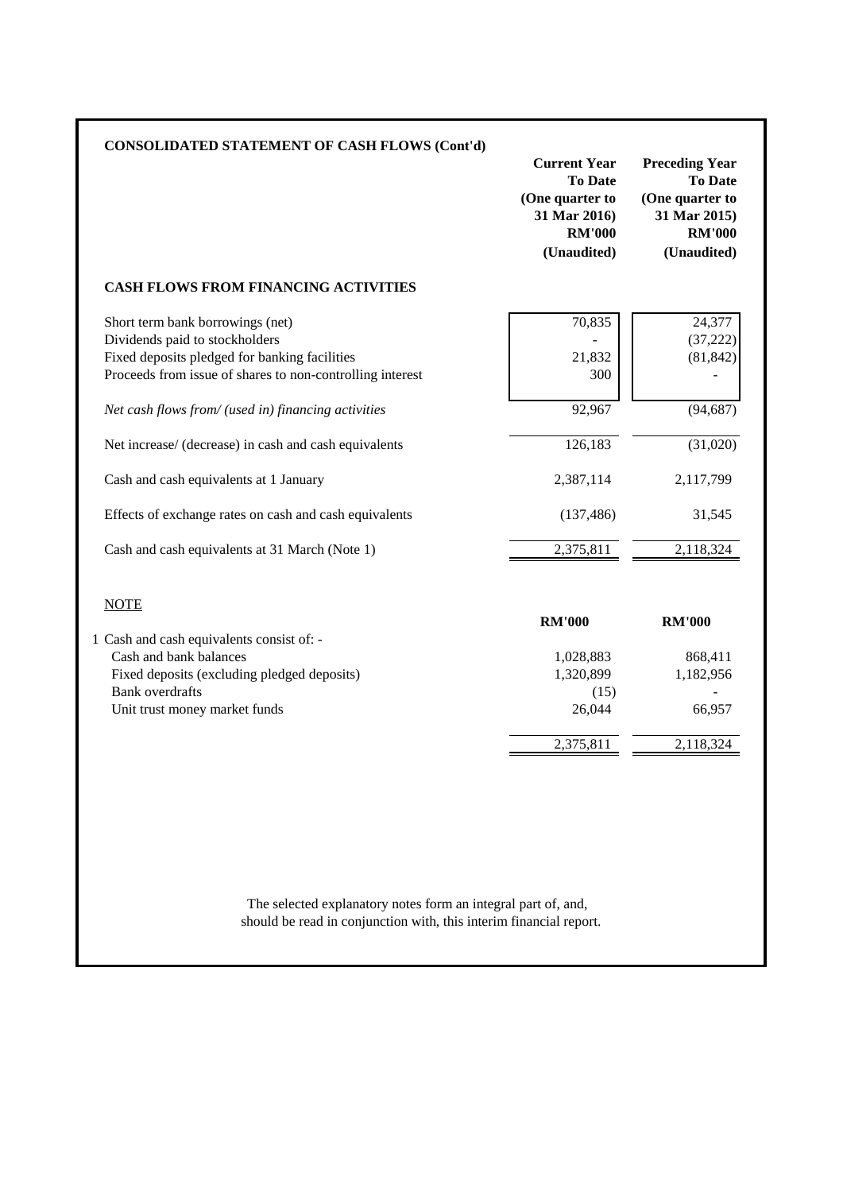| <b>CONSOLIDATED STATEMENT OF CASH FLOWS (Cont'd)</b>                                                                                                                                                                                                                                                                                                                                                                                                   | <b>Current Year</b><br><b>To Date</b><br>(One quarter to<br>31 Mar 2016)<br><b>RM'000</b><br>(Unaudited) | <b>Preceding Year</b><br><b>To Date</b><br>(One quarter to<br>31 Mar 2015)<br><b>RM'000</b><br>(Unaudited) |
|--------------------------------------------------------------------------------------------------------------------------------------------------------------------------------------------------------------------------------------------------------------------------------------------------------------------------------------------------------------------------------------------------------------------------------------------------------|----------------------------------------------------------------------------------------------------------|------------------------------------------------------------------------------------------------------------|
| <b>CASH FLOWS FROM FINANCING ACTIVITIES</b>                                                                                                                                                                                                                                                                                                                                                                                                            |                                                                                                          |                                                                                                            |
| Short term bank borrowings (net)<br>Dividends paid to stockholders<br>Fixed deposits pledged for banking facilities<br>Proceeds from issue of shares to non-controlling interest<br>Net cash flows from/ (used in) financing activities<br>Net increase/ (decrease) in cash and cash equivalents<br>Cash and cash equivalents at 1 January<br>Effects of exchange rates on cash and cash equivalents<br>Cash and cash equivalents at 31 March (Note 1) | 70,835<br>21,832<br>300<br>92,967<br>126,183<br>2,387,114<br>(137, 486)<br>2,375,811                     | 24,377<br>(37, 222)<br>(81, 842)<br>(94, 687)<br>(31,020)<br>2,117,799<br>31,545<br>2,118,324              |
| <b>NOTE</b><br>1 Cash and cash equivalents consist of: -<br>Cash and bank balances<br>Fixed deposits (excluding pledged deposits)<br><b>Bank</b> overdrafts<br>Unit trust money market funds                                                                                                                                                                                                                                                           | <b>RM'000</b><br>1,028,883<br>1,320,899<br>(15)<br>26,044<br>2,375,811                                   | <b>RM'000</b><br>868,411<br>1,182,956<br>66,957<br>2,118,324                                               |

should be read in conjunction with, this interim financial report. The selected explanatory notes form an integral part of, and,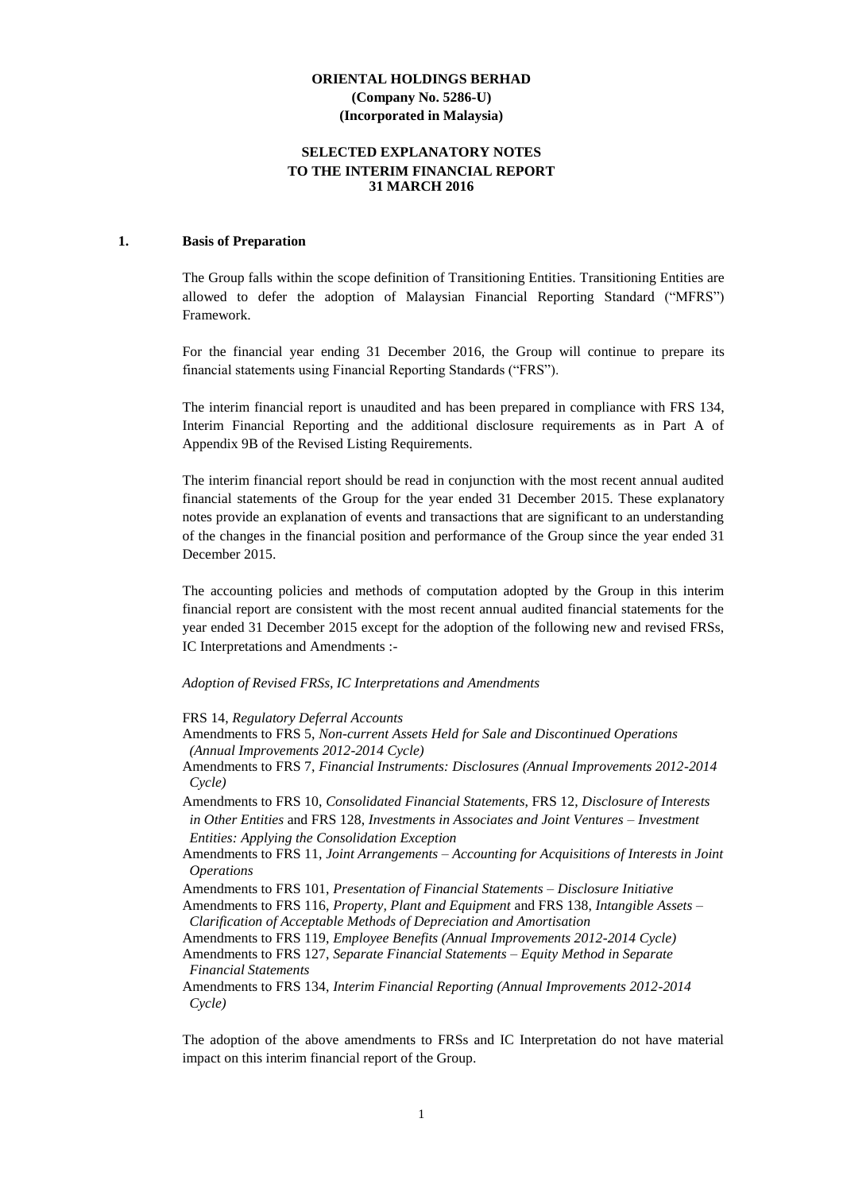#### **SELECTED EXPLANATORY NOTES TO THE INTERIM FINANCIAL REPORT 31 MARCH 2016**

#### **1. Basis of Preparation**

The Group falls within the scope definition of Transitioning Entities. Transitioning Entities are allowed to defer the adoption of Malaysian Financial Reporting Standard ("MFRS") Framework.

For the financial year ending 31 December 2016, the Group will continue to prepare its financial statements using Financial Reporting Standards ("FRS").

The interim financial report is unaudited and has been prepared in compliance with FRS 134, Interim Financial Reporting and the additional disclosure requirements as in Part A of Appendix 9B of the Revised Listing Requirements.

The interim financial report should be read in conjunction with the most recent annual audited financial statements of the Group for the year ended 31 December 2015. These explanatory notes provide an explanation of events and transactions that are significant to an understanding of the changes in the financial position and performance of the Group since the year ended 31 December 2015.

The accounting policies and methods of computation adopted by the Group in this interim financial report are consistent with the most recent annual audited financial statements for the year ended 31 December 2015 except for the adoption of the following new and revised FRSs, IC Interpretations and Amendments :-

#### *Adoption of Revised FRSs, IC Interpretations and Amendments*

FRS 14, *Regulatory Deferral Accounts*

- Amendments to FRS 5, *Non-current Assets Held for Sale and Discontinued Operations (Annual Improvements 2012-2014 Cycle)*
- Amendments to FRS 7, *Financial Instruments: Disclosures (Annual Improvements 2012-2014 Cycle)*

Amendments to FRS 10, *Consolidated Financial Statements*, FRS 12, *Disclosure of Interests in Other Entities* and FRS 128, *Investments in Associates and Joint Ventures – Investment Entities: Applying the Consolidation Exception*

Amendments to FRS 11, *Joint Arrangements – Accounting for Acquisitions of Interests in Joint Operations*

Amendments to FRS 101, *Presentation of Financial Statements – Disclosure Initiative*

Amendments to FRS 116, *Property, Plant and Equipment* and FRS 138, *Intangible Assets – Clarification of Acceptable Methods of Depreciation and Amortisation*

Amendments to FRS 119, *Employee Benefits (Annual Improvements 2012-2014 Cycle)*

Amendments to FRS 127, *Separate Financial Statements – Equity Method in Separate Financial Statements*

Amendments to FRS 134, *Interim Financial Reporting (Annual Improvements 2012-2014 Cycle)*

The adoption of the above amendments to FRSs and IC Interpretation do not have material impact on this interim financial report of the Group.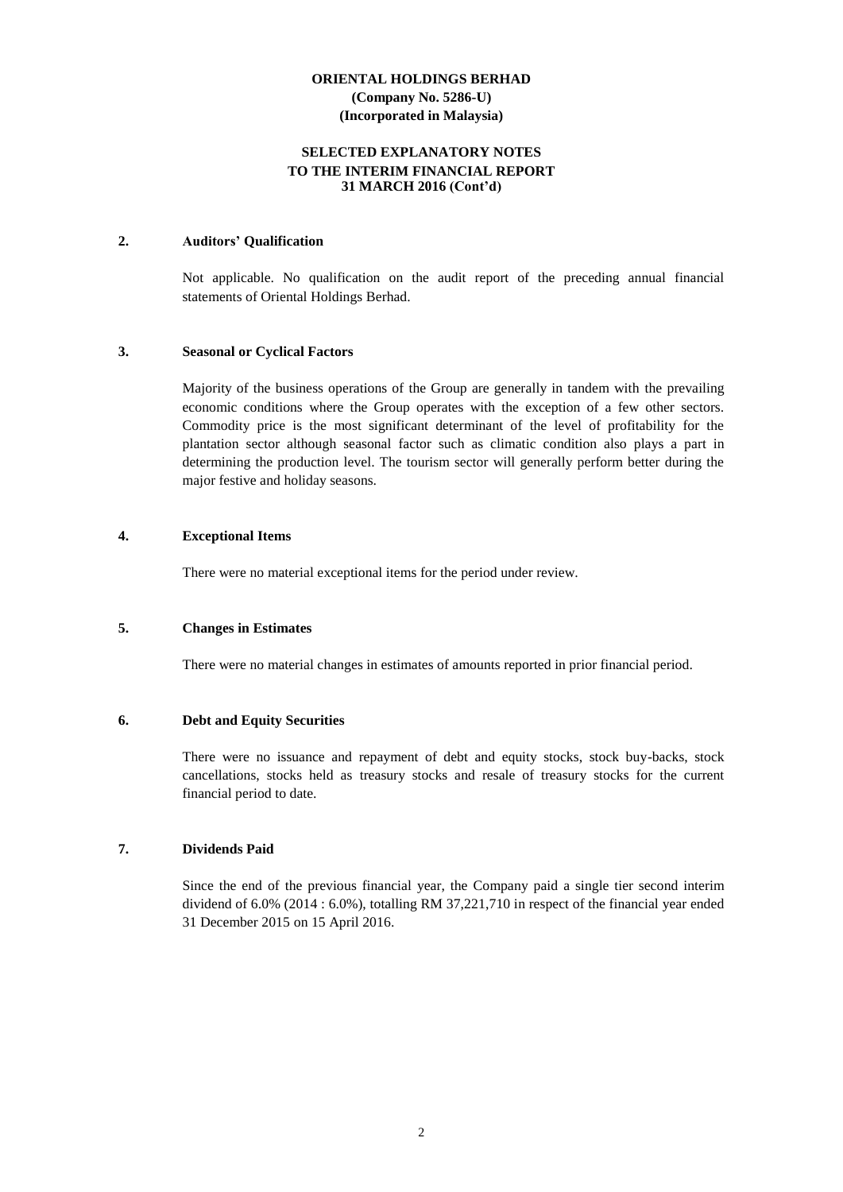#### **SELECTED EXPLANATORY NOTES TO THE INTERIM FINANCIAL REPORT 31 MARCH 2016 (Cont'd)**

#### **2. Auditors' Qualification**

Not applicable. No qualification on the audit report of the preceding annual financial statements of Oriental Holdings Berhad.

#### **3. Seasonal or Cyclical Factors**

Majority of the business operations of the Group are generally in tandem with the prevailing economic conditions where the Group operates with the exception of a few other sectors. Commodity price is the most significant determinant of the level of profitability for the plantation sector although seasonal factor such as climatic condition also plays a part in determining the production level. The tourism sector will generally perform better during the major festive and holiday seasons.

#### **4. Exceptional Items**

There were no material exceptional items for the period under review.

#### **5. Changes in Estimates**

There were no material changes in estimates of amounts reported in prior financial period.

#### **6. Debt and Equity Securities**

There were no issuance and repayment of debt and equity stocks, stock buy-backs, stock cancellations, stocks held as treasury stocks and resale of treasury stocks for the current financial period to date.

#### **7. Dividends Paid**

Since the end of the previous financial year, the Company paid a single tier second interim dividend of 6.0% (2014 : 6.0%), totalling RM 37,221,710 in respect of the financial year ended 31 December 2015 on 15 April 2016.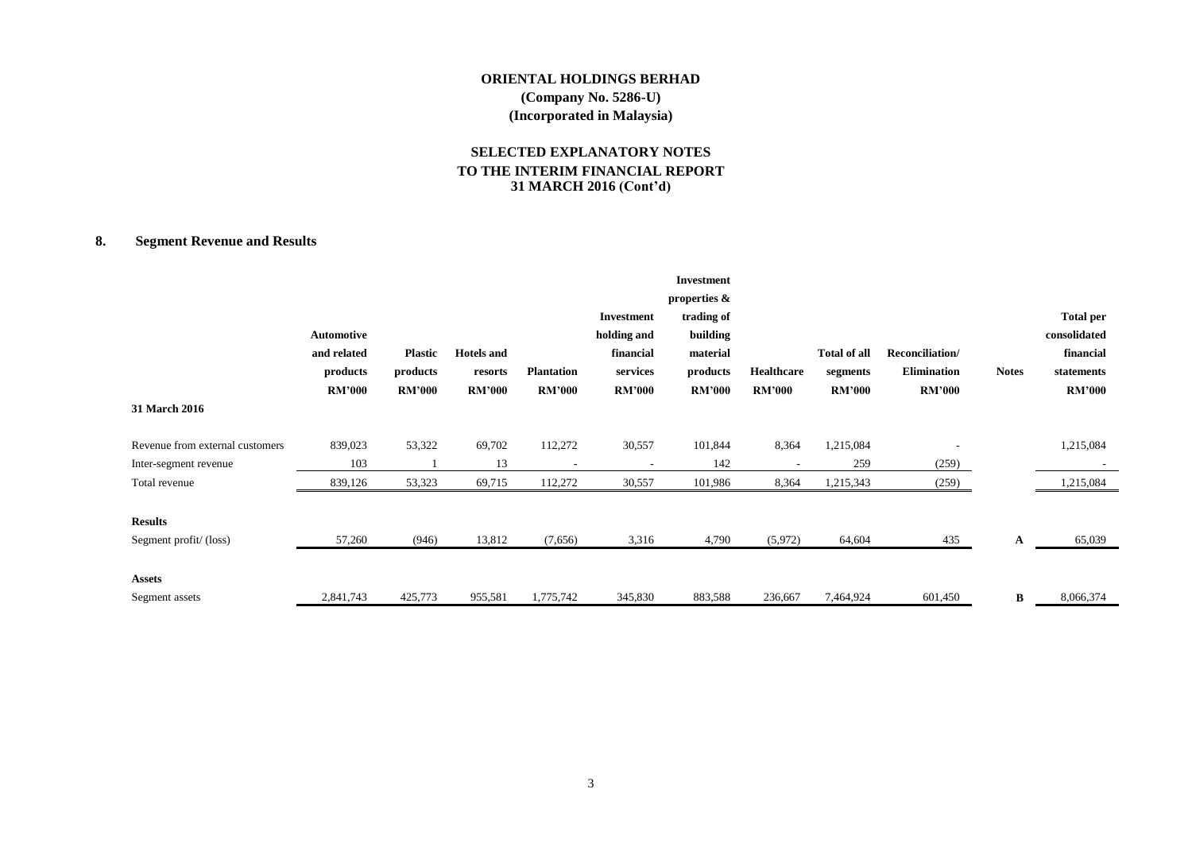#### **SELECTED EXPLANATORY NOTES TO THE INTERIM FINANCIAL REPORT 31 MARCH 2016 (Cont'd)**

#### **8. Segment Revenue and Results**

| 31 March 2016                           | <b>Automotive</b><br>and related<br>products<br><b>RM'000</b> | <b>Plastic</b><br>products<br><b>RM'000</b> | <b>Hotels</b> and<br>resorts<br><b>RM'000</b> | <b>Plantation</b><br><b>RM'000</b> | <b>Investment</b><br>holding and<br>financial<br>services<br><b>RM'000</b> | <b>Investment</b><br>properties &<br>trading of<br>building<br>material<br>products<br><b>RM'000</b> | Healthcare<br><b>RM'000</b> | <b>Total of all</b><br>segments<br><b>RM'000</b> | Reconciliation/<br><b>Elimination</b><br><b>RM'000</b> | <b>Notes</b> | <b>Total per</b><br>consolidated<br>financial<br>statements<br><b>RM'000</b> |
|-----------------------------------------|---------------------------------------------------------------|---------------------------------------------|-----------------------------------------------|------------------------------------|----------------------------------------------------------------------------|------------------------------------------------------------------------------------------------------|-----------------------------|--------------------------------------------------|--------------------------------------------------------|--------------|------------------------------------------------------------------------------|
| Revenue from external customers         | 839,023                                                       | 53,322                                      | 69,702                                        | 112,272                            | 30,557                                                                     | 101,844                                                                                              | 8,364                       | 1,215,084                                        |                                                        |              | 1,215,084                                                                    |
| Inter-segment revenue                   | 103                                                           |                                             | 13                                            |                                    |                                                                            | 142                                                                                                  |                             | 259                                              | (259)                                                  |              |                                                                              |
| Total revenue                           | 839,126                                                       | 53,323                                      | 69,715                                        | 112,272                            | 30,557                                                                     | 101,986                                                                                              | 8,364                       | 1,215,343                                        | (259)                                                  |              | 1,215,084                                                                    |
| <b>Results</b><br>Segment profit/(loss) | 57,260                                                        | (946)                                       | 13,812                                        | (7,656)                            | 3,316                                                                      | 4,790                                                                                                | (5,972)                     | 64,604                                           | 435                                                    | A            | 65,039                                                                       |
| <b>Assets</b><br>Segment assets         | 2,841,743                                                     | 425,773                                     | 955,581                                       | 1,775,742                          | 345,830                                                                    | 883,588                                                                                              | 236,667                     | 7,464,924                                        | 601,450                                                | B            | 8,066,374                                                                    |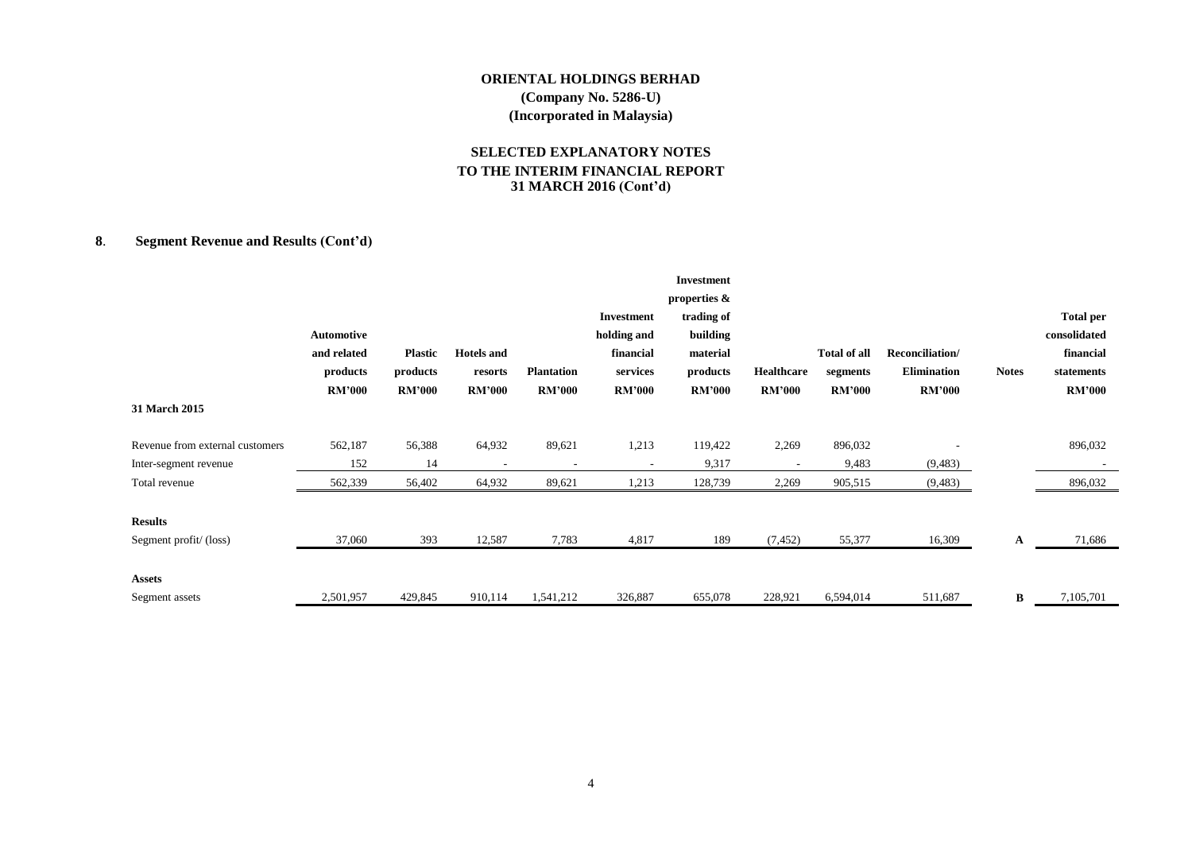#### **SELECTED EXPLANATORY NOTES TO THE INTERIM FINANCIAL REPORT 31 MARCH 2016 (Cont'd)**

### **8**. **Segment Revenue and Results (Cont'd)**

| 31 March 2015                   | <b>Automotive</b><br>and related<br>products<br><b>RM'000</b> | <b>Plastic</b><br>products<br><b>RM'000</b> | <b>Hotels and</b><br>resorts<br><b>RM'000</b> | <b>Plantation</b><br><b>RM'000</b> | <b>Investment</b><br>holding and<br>financial<br>services<br><b>RM'000</b> | <b>Investment</b><br>properties &<br>trading of<br>building<br>material<br>products<br><b>RM'000</b> | Healthcare<br><b>RM'000</b> | <b>Total of all</b><br>segments<br><b>RM'000</b> | Reconciliation/<br><b>Elimination</b><br><b>RM'000</b> | <b>Notes</b> | <b>Total per</b><br>consolidated<br>financial<br>statements<br><b>RM'000</b> |
|---------------------------------|---------------------------------------------------------------|---------------------------------------------|-----------------------------------------------|------------------------------------|----------------------------------------------------------------------------|------------------------------------------------------------------------------------------------------|-----------------------------|--------------------------------------------------|--------------------------------------------------------|--------------|------------------------------------------------------------------------------|
| Revenue from external customers | 562,187                                                       | 56,388                                      | 64,932                                        | 89,621                             | 1,213                                                                      | 119,422                                                                                              | 2,269                       | 896,032                                          |                                                        |              | 896,032                                                                      |
| Inter-segment revenue           | 152                                                           | 14                                          | ٠                                             |                                    |                                                                            | 9,317                                                                                                |                             | 9,483                                            | (9, 483)                                               |              |                                                                              |
| Total revenue                   | 562,339                                                       | 56,402                                      | 64,932                                        | 89,621                             | 1,213                                                                      | 128,739                                                                                              | 2,269                       | 905,515                                          | (9, 483)                                               |              | 896,032                                                                      |
| <b>Results</b>                  |                                                               |                                             |                                               |                                    |                                                                            |                                                                                                      |                             |                                                  |                                                        |              |                                                                              |
| Segment profit/(loss)           | 37,060                                                        | 393                                         | 12,587                                        | 7,783                              | 4,817                                                                      | 189                                                                                                  | (7, 452)                    | 55,377                                           | 16,309                                                 | A            | 71,686                                                                       |
| <b>Assets</b>                   |                                                               |                                             |                                               |                                    |                                                                            |                                                                                                      |                             |                                                  |                                                        |              |                                                                              |
| Segment assets                  | 2,501,957                                                     | 429,845                                     | 910,114                                       | 1,541,212                          | 326,887                                                                    | 655,078                                                                                              | 228,921                     | 6,594,014                                        | 511,687                                                | B            | 7,105,701                                                                    |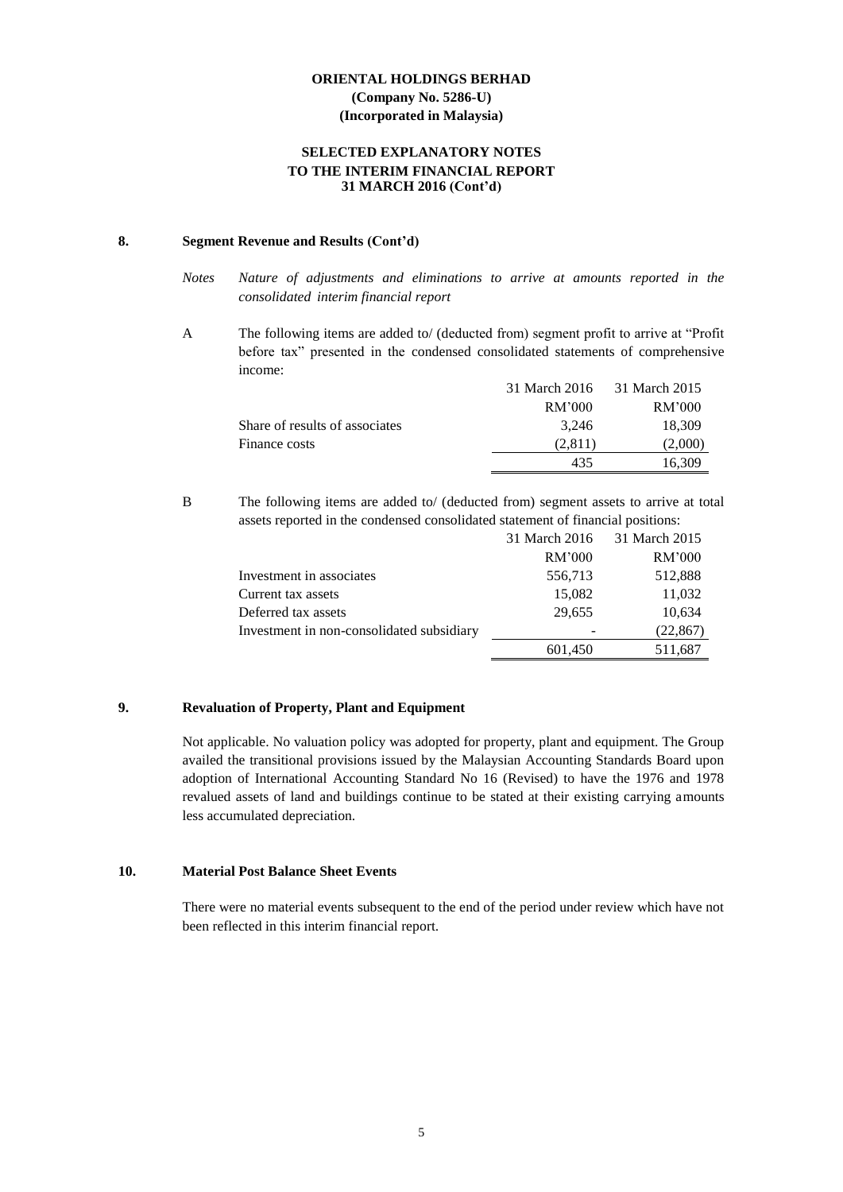#### **SELECTED EXPLANATORY NOTES TO THE INTERIM FINANCIAL REPORT 31 MARCH 2016 (Cont'd)**

#### **8. Segment Revenue and Results (Cont'd)**

- *Notes Nature of adjustments and eliminations to arrive at amounts reported in the consolidated interim financial report*
- A The following items are added to/ (deducted from) segment profit to arrive at "Profit before tax" presented in the condensed consolidated statements of comprehensive income:

|                                | 31 March 2016 | 31 March 2015 |
|--------------------------------|---------------|---------------|
|                                | RM'000        | RM'000        |
| Share of results of associates | 3.246         | 18,309        |
| Finance costs                  | (2.811)       | (2,000)       |
|                                | 435           | 16,309        |

B The following items are added to/ (deducted from) segment assets to arrive at total assets reported in the condensed consolidated statement of financial positions:

|                                           | 31 March 2016 | 31 March 2015 |
|-------------------------------------------|---------------|---------------|
|                                           | RM'000        | RM'000        |
| Investment in associates                  | 556,713       | 512,888       |
| Current tax assets                        | 15,082        | 11,032        |
| Deferred tax assets                       | 29,655        | 10,634        |
| Investment in non-consolidated subsidiary |               | (22, 867)     |
|                                           | 601,450       | 511,687       |

#### **9. Revaluation of Property, Plant and Equipment**

Not applicable. No valuation policy was adopted for property, plant and equipment. The Group availed the transitional provisions issued by the Malaysian Accounting Standards Board upon adoption of International Accounting Standard No 16 (Revised) to have the 1976 and 1978 revalued assets of land and buildings continue to be stated at their existing carrying amounts less accumulated depreciation.

#### **10. Material Post Balance Sheet Events**

There were no material events subsequent to the end of the period under review which have not been reflected in this interim financial report.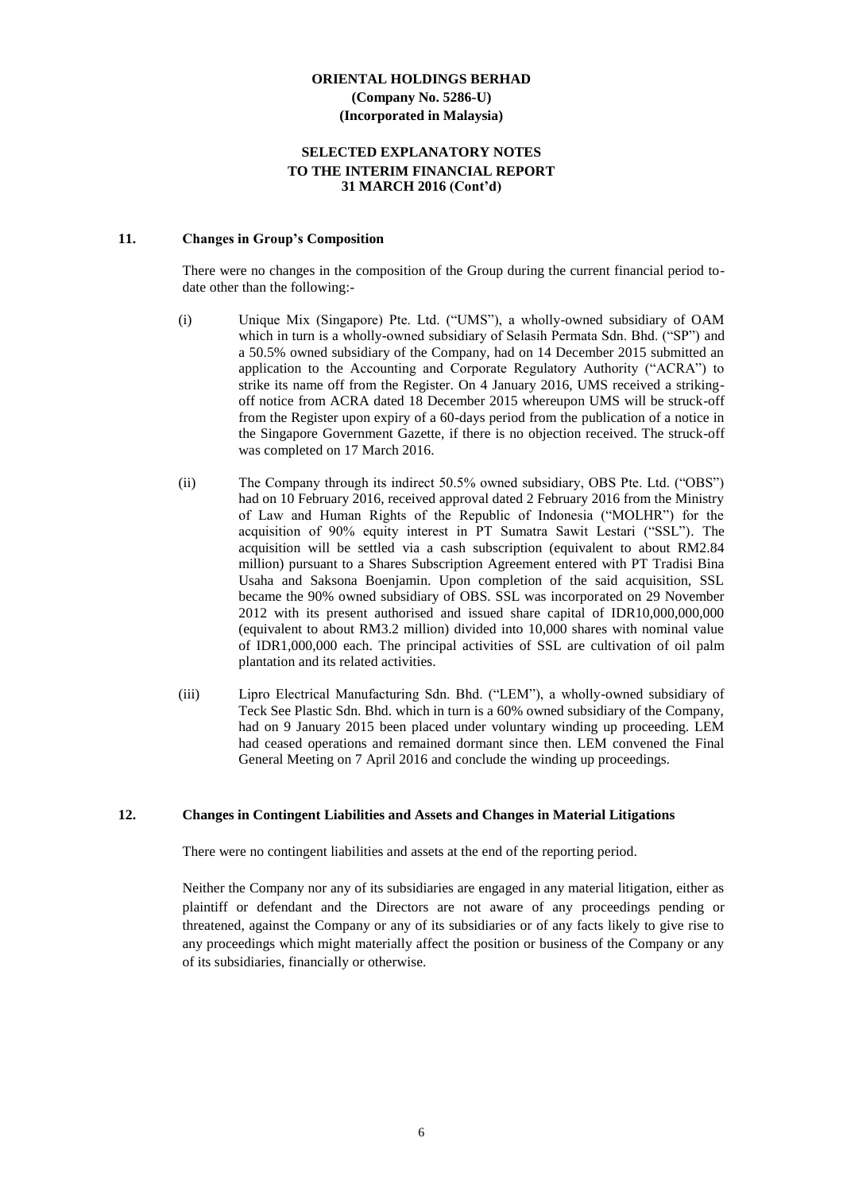#### **SELECTED EXPLANATORY NOTES TO THE INTERIM FINANCIAL REPORT 31 MARCH 2016 (Cont'd)**

#### **11. Changes in Group's Composition**

There were no changes in the composition of the Group during the current financial period todate other than the following:-

- (i) Unique Mix (Singapore) Pte. Ltd. ("UMS"), a wholly-owned subsidiary of OAM which in turn is a wholly-owned subsidiary of Selasih Permata Sdn. Bhd. ("SP") and a 50.5% owned subsidiary of the Company, had on 14 December 2015 submitted an application to the Accounting and Corporate Regulatory Authority ("ACRA") to strike its name off from the Register. On 4 January 2016, UMS received a strikingoff notice from ACRA dated 18 December 2015 whereupon UMS will be struck-off from the Register upon expiry of a 60-days period from the publication of a notice in the Singapore Government Gazette, if there is no objection received. The struck-off was completed on 17 March 2016.
- (ii) The Company through its indirect 50.5% owned subsidiary, OBS Pte. Ltd. ("OBS") had on 10 February 2016, received approval dated 2 February 2016 from the Ministry of Law and Human Rights of the Republic of Indonesia ("MOLHR") for the acquisition of 90% equity interest in PT Sumatra Sawit Lestari ("SSL"). The acquisition will be settled via a cash subscription (equivalent to about RM2.84 million) pursuant to a Shares Subscription Agreement entered with PT Tradisi Bina Usaha and Saksona Boenjamin. Upon completion of the said acquisition, SSL became the 90% owned subsidiary of OBS. SSL was incorporated on 29 November 2012 with its present authorised and issued share capital of IDR10,000,000,000 (equivalent to about RM3.2 million) divided into 10,000 shares with nominal value of IDR1,000,000 each. The principal activities of SSL are cultivation of oil palm plantation and its related activities.
- (iii) Lipro Electrical Manufacturing Sdn. Bhd. ("LEM"), a wholly-owned subsidiary of Teck See Plastic Sdn. Bhd. which in turn is a 60% owned subsidiary of the Company, had on 9 January 2015 been placed under voluntary winding up proceeding. LEM had ceased operations and remained dormant since then. LEM convened the Final General Meeting on 7 April 2016 and conclude the winding up proceedings.

#### **12. Changes in Contingent Liabilities and Assets and Changes in Material Litigations**

There were no contingent liabilities and assets at the end of the reporting period.

Neither the Company nor any of its subsidiaries are engaged in any material litigation, either as plaintiff or defendant and the Directors are not aware of any proceedings pending or threatened, against the Company or any of its subsidiaries or of any facts likely to give rise to any proceedings which might materially affect the position or business of the Company or any of its subsidiaries, financially or otherwise.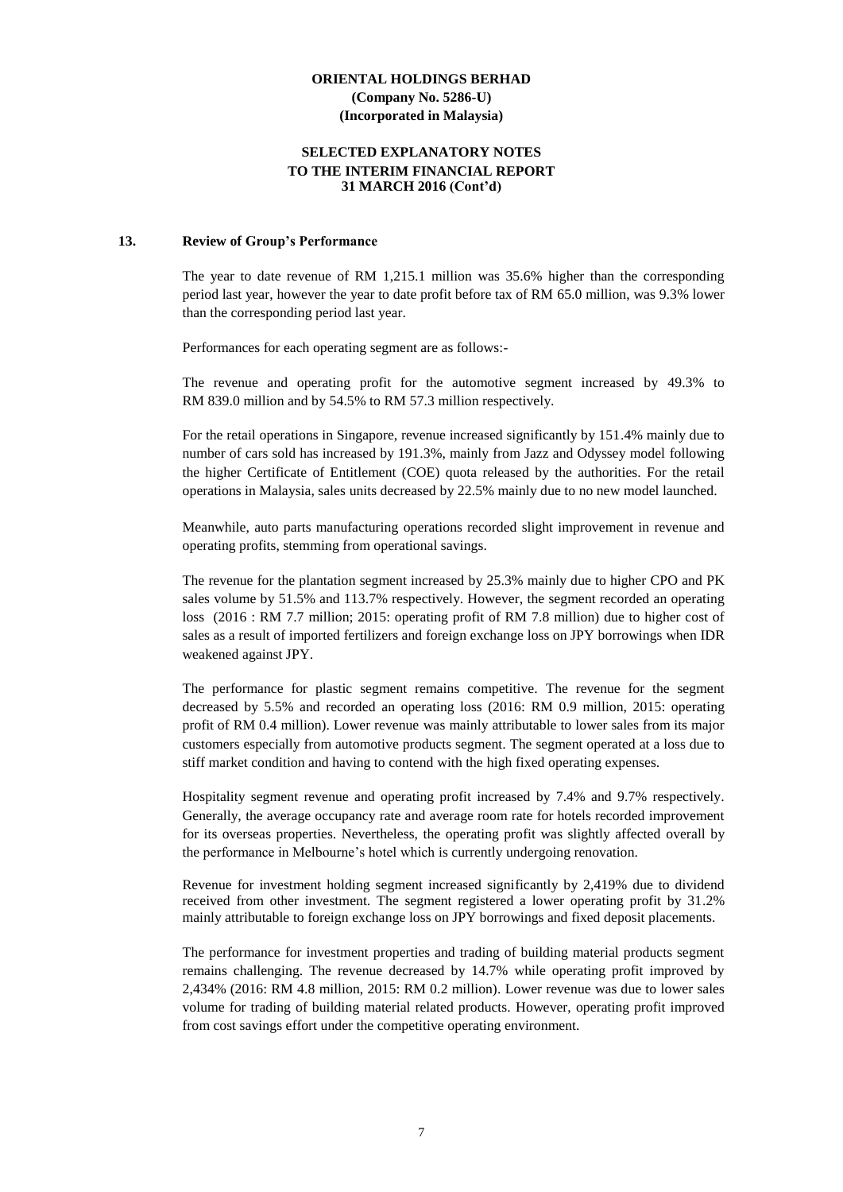#### **SELECTED EXPLANATORY NOTES TO THE INTERIM FINANCIAL REPORT 31 MARCH 2016 (Cont'd)**

#### **13. Review of Group's Performance**

The year to date revenue of RM 1,215.1 million was 35.6% higher than the corresponding period last year, however the year to date profit before tax of RM 65.0 million, was 9.3% lower than the corresponding period last year.

Performances for each operating segment are as follows:-

The revenue and operating profit for the automotive segment increased by 49.3% to RM 839.0 million and by 54.5% to RM 57.3 million respectively.

For the retail operations in Singapore, revenue increased significantly by 151.4% mainly due to number of cars sold has increased by 191.3%, mainly from Jazz and Odyssey model following the higher Certificate of Entitlement (COE) quota released by the authorities. For the retail operations in Malaysia, sales units decreased by 22.5% mainly due to no new model launched.

Meanwhile, auto parts manufacturing operations recorded slight improvement in revenue and operating profits, stemming from operational savings.

The revenue for the plantation segment increased by 25.3% mainly due to higher CPO and PK sales volume by 51.5% and 113.7% respectively. However, the segment recorded an operating loss (2016 : RM 7.7 million; 2015: operating profit of RM 7.8 million) due to higher cost of sales as a result of imported fertilizers and foreign exchange loss on JPY borrowings when IDR weakened against JPY.

The performance for plastic segment remains competitive. The revenue for the segment decreased by 5.5% and recorded an operating loss (2016: RM 0.9 million, 2015: operating profit of RM 0.4 million). Lower revenue was mainly attributable to lower sales from its major customers especially from automotive products segment. The segment operated at a loss due to stiff market condition and having to contend with the high fixed operating expenses.

Hospitality segment revenue and operating profit increased by 7.4% and 9.7% respectively. Generally, the average occupancy rate and average room rate for hotels recorded improvement for its overseas properties. Nevertheless, the operating profit was slightly affected overall by the performance in Melbourne's hotel which is currently undergoing renovation.

Revenue for investment holding segment increased significantly by 2,419% due to dividend received from other investment. The segment registered a lower operating profit by 31.2% mainly attributable to foreign exchange loss on JPY borrowings and fixed deposit placements.

The performance for investment properties and trading of building material products segment remains challenging. The revenue decreased by 14.7% while operating profit improved by 2,434% (2016: RM 4.8 million, 2015: RM 0.2 million). Lower revenue was due to lower sales volume for trading of building material related products. However, operating profit improved from cost savings effort under the competitive operating environment.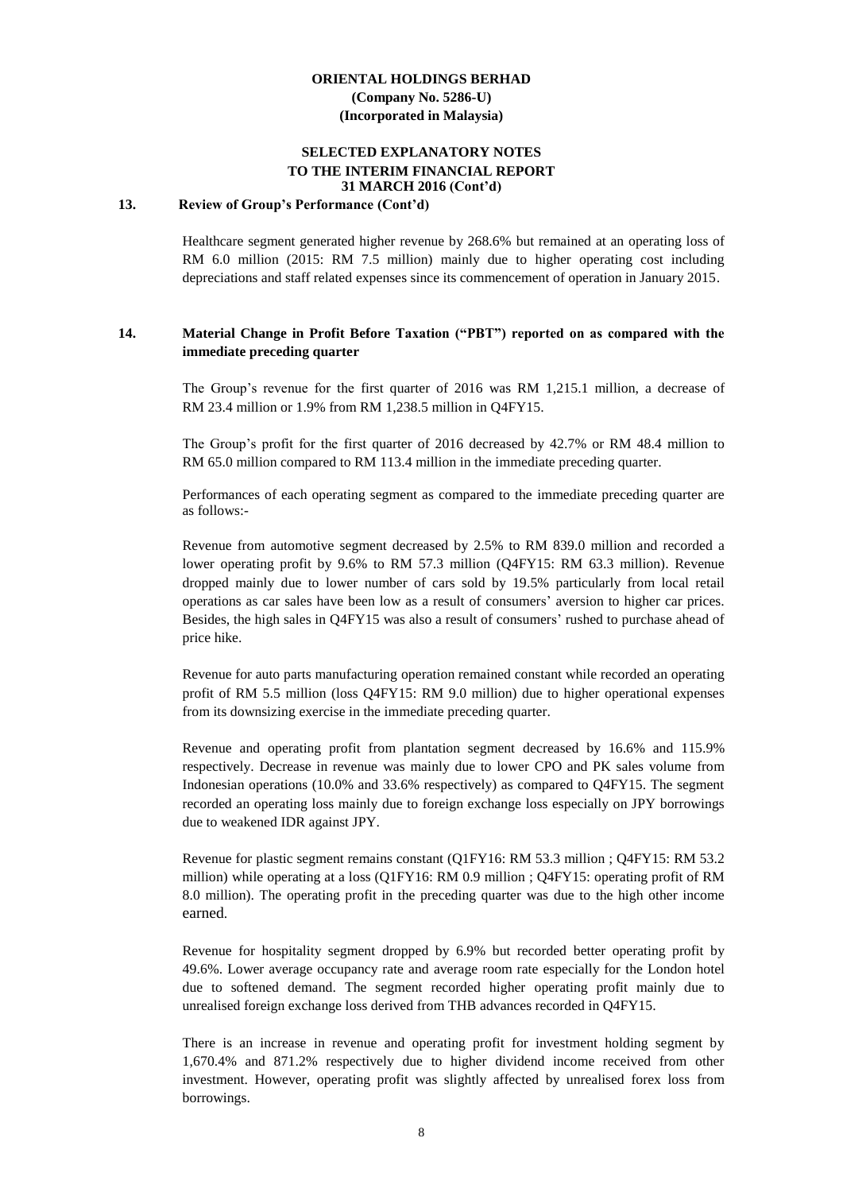#### **SELECTED EXPLANATORY NOTES TO THE INTERIM FINANCIAL REPORT 31 MARCH 2016 (Cont'd)**

#### **13. Review of Group's Performance (Cont'd)**

Healthcare segment generated higher revenue by 268.6% but remained at an operating loss of RM 6.0 million (2015: RM 7.5 million) mainly due to higher operating cost including depreciations and staff related expenses since its commencement of operation in January 2015.

#### **14. Material Change in Profit Before Taxation ("PBT") reported on as compared with the immediate preceding quarter**

The Group's revenue for the first quarter of 2016 was RM 1,215.1 million, a decrease of RM 23.4 million or 1.9% from RM 1,238.5 million in Q4FY15.

The Group's profit for the first quarter of 2016 decreased by 42.7% or RM 48.4 million to RM 65.0 million compared to RM 113.4 million in the immediate preceding quarter.

Performances of each operating segment as compared to the immediate preceding quarter are as follows:-

Revenue from automotive segment decreased by 2.5% to RM 839.0 million and recorded a lower operating profit by 9.6% to RM 57.3 million (Q4FY15: RM 63.3 million). Revenue dropped mainly due to lower number of cars sold by 19.5% particularly from local retail operations as car sales have been low as a result of consumers' aversion to higher car prices. Besides, the high sales in Q4FY15 was also a result of consumers' rushed to purchase ahead of price hike.

Revenue for auto parts manufacturing operation remained constant while recorded an operating profit of RM 5.5 million (loss Q4FY15: RM 9.0 million) due to higher operational expenses from its downsizing exercise in the immediate preceding quarter.

Revenue and operating profit from plantation segment decreased by 16.6% and 115.9% respectively. Decrease in revenue was mainly due to lower CPO and PK sales volume from Indonesian operations (10.0% and 33.6% respectively) as compared to Q4FY15. The segment recorded an operating loss mainly due to foreign exchange loss especially on JPY borrowings due to weakened IDR against JPY.

Revenue for plastic segment remains constant (Q1FY16: RM 53.3 million ; Q4FY15: RM 53.2 million) while operating at a loss (Q1FY16: RM 0.9 million ; Q4FY15: operating profit of RM 8.0 million). The operating profit in the preceding quarter was due to the high other income earned.

Revenue for hospitality segment dropped by 6.9% but recorded better operating profit by 49.6%. Lower average occupancy rate and average room rate especially for the London hotel due to softened demand. The segment recorded higher operating profit mainly due to unrealised foreign exchange loss derived from THB advances recorded in Q4FY15.

There is an increase in revenue and operating profit for investment holding segment by 1,670.4% and 871.2% respectively due to higher dividend income received from other investment. However, operating profit was slightly affected by unrealised forex loss from borrowings.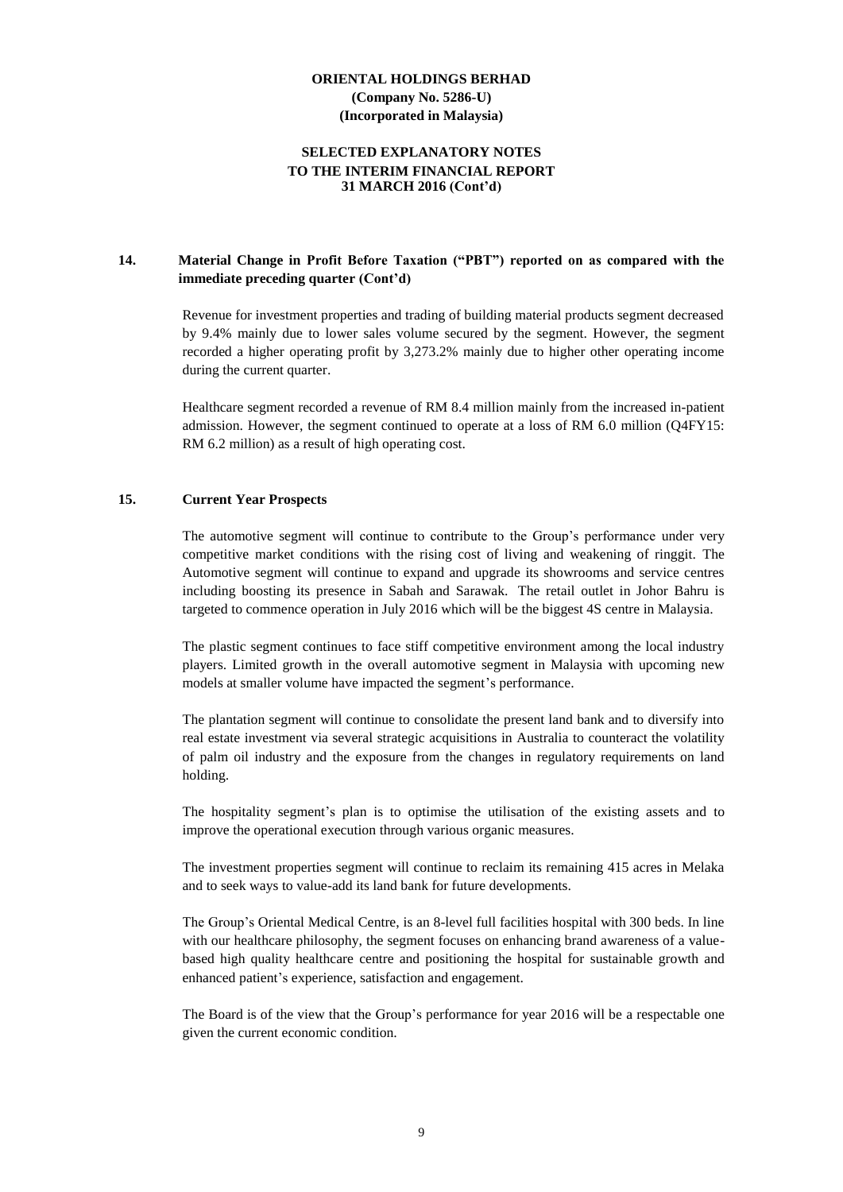#### **SELECTED EXPLANATORY NOTES TO THE INTERIM FINANCIAL REPORT 31 MARCH 2016 (Cont'd)**

### **14. Material Change in Profit Before Taxation ("PBT") reported on as compared with the immediate preceding quarter (Cont'd)**

Revenue for investment properties and trading of building material products segment decreased by 9.4% mainly due to lower sales volume secured by the segment. However, the segment recorded a higher operating profit by 3,273.2% mainly due to higher other operating income during the current quarter.

Healthcare segment recorded a revenue of RM 8.4 million mainly from the increased in-patient admission. However, the segment continued to operate at a loss of RM 6.0 million (Q4FY15: RM 6.2 million) as a result of high operating cost.

#### **15. Current Year Prospects**

The automotive segment will continue to contribute to the Group's performance under very competitive market conditions with the rising cost of living and weakening of ringgit. The Automotive segment will continue to expand and upgrade its showrooms and service centres including boosting its presence in Sabah and Sarawak. The retail outlet in Johor Bahru is targeted to commence operation in July 2016 which will be the biggest 4S centre in Malaysia.

The plastic segment continues to face stiff competitive environment among the local industry players. Limited growth in the overall automotive segment in Malaysia with upcoming new models at smaller volume have impacted the segment's performance.

The plantation segment will continue to consolidate the present land bank and to diversify into real estate investment via several strategic acquisitions in Australia to counteract the volatility of palm oil industry and the exposure from the changes in regulatory requirements on land holding.

The hospitality segment's plan is to optimise the utilisation of the existing assets and to improve the operational execution through various organic measures.

The investment properties segment will continue to reclaim its remaining 415 acres in Melaka and to seek ways to value-add its land bank for future developments.

The Group's Oriental Medical Centre, is an 8-level full facilities hospital with 300 beds. In line with our healthcare philosophy, the segment focuses on enhancing brand awareness of a valuebased high quality healthcare centre and positioning the hospital for sustainable growth and enhanced patient's experience, satisfaction and engagement.

The Board is of the view that the Group's performance for year 2016 will be a respectable one given the current economic condition.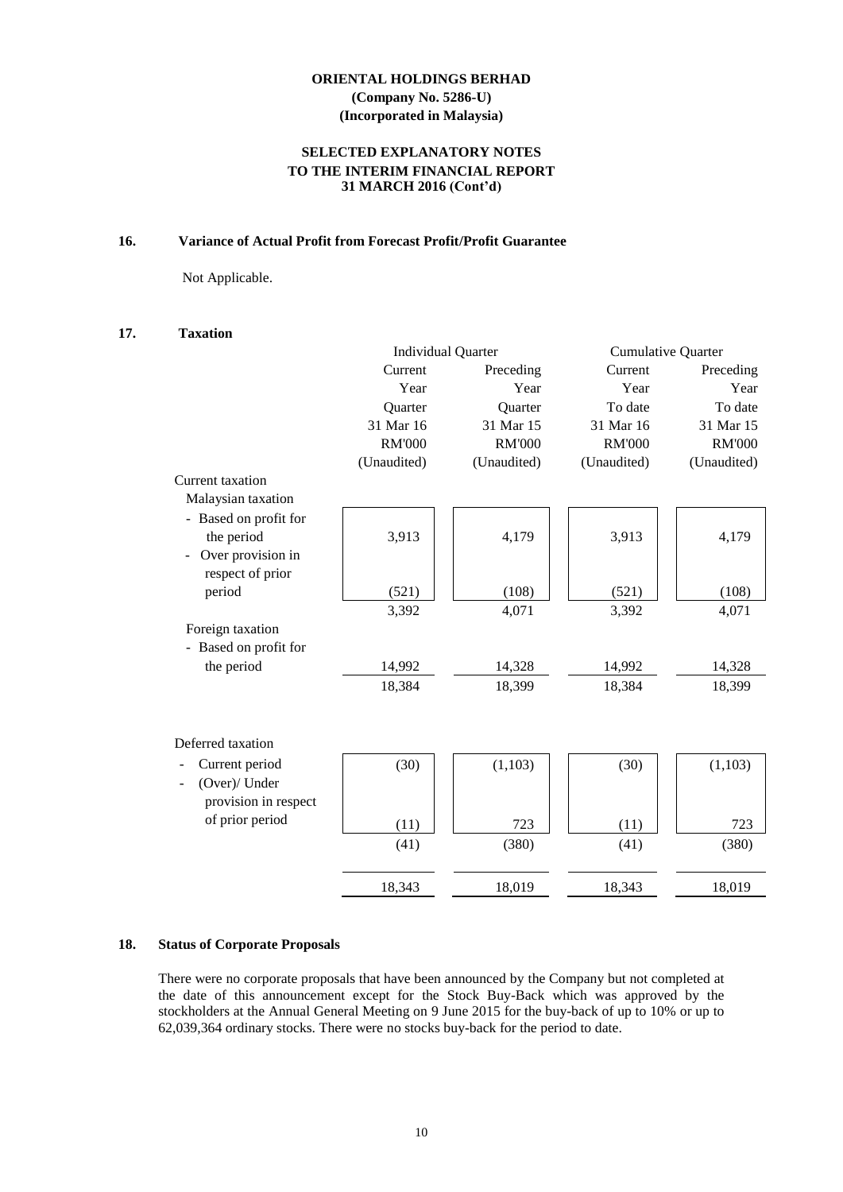#### **SELECTED EXPLANATORY NOTES TO THE INTERIM FINANCIAL REPORT 31 MARCH 2016 (Cont'd)**

#### **16. Variance of Actual Profit from Forecast Profit/Profit Guarantee**

Not Applicable.

#### **17. Taxation**

|                       | <b>Individual Quarter</b> | <b>Cumulative Quarter</b> |               |               |
|-----------------------|---------------------------|---------------------------|---------------|---------------|
|                       | Current                   | Preceding                 | Current       | Preceding     |
|                       | Year                      | Year                      | Year          | Year          |
|                       | Quarter                   | Quarter                   | To date       | To date       |
|                       | 31 Mar 16                 | 31 Mar 15                 | 31 Mar 16     | 31 Mar 15     |
|                       | <b>RM'000</b>             | <b>RM'000</b>             | <b>RM'000</b> | <b>RM'000</b> |
|                       | (Unaudited)               | (Unaudited)               | (Unaudited)   | (Unaudited)   |
| Current taxation      |                           |                           |               |               |
| Malaysian taxation    |                           |                           |               |               |
| - Based on profit for |                           |                           |               |               |
| the period            | 3,913                     | 4,179                     | 3,913         | 4,179         |
| Over provision in     |                           |                           |               |               |
| respect of prior      |                           |                           |               |               |
| period                | (521)                     | (108)                     | (521)         | (108)         |
|                       | 3,392                     | 4,071                     | 3,392         | 4,071         |
| Foreign taxation      |                           |                           |               |               |
| - Based on profit for |                           |                           |               |               |
| the period            | 14,992                    | 14,328                    | 14,992        | 14,328        |
|                       | 18,384                    | 18,399                    | 18,384        | 18,399        |
|                       |                           |                           |               |               |
|                       |                           |                           |               |               |
| Deferred taxation     |                           |                           |               |               |
| Current period        | (30)                      | (1,103)                   | (30)          | (1,103)       |
| (Over)/ Under         |                           |                           |               |               |
| provision in respect  |                           |                           |               |               |
| of prior period       | (11)                      | 723                       | (11)          | 723           |
|                       | (41)                      | (380)                     | (41)          | (380)         |
|                       |                           |                           |               |               |
|                       | 18,343                    | 18,019                    | 18,343        | 18,019        |
|                       |                           |                           |               |               |

#### **18. Status of Corporate Proposals**

There were no corporate proposals that have been announced by the Company but not completed at the date of this announcement except for the Stock Buy-Back which was approved by the stockholders at the Annual General Meeting on 9 June 2015 for the buy-back of up to 10% or up to 62,039,364 ordinary stocks. There were no stocks buy-back for the period to date.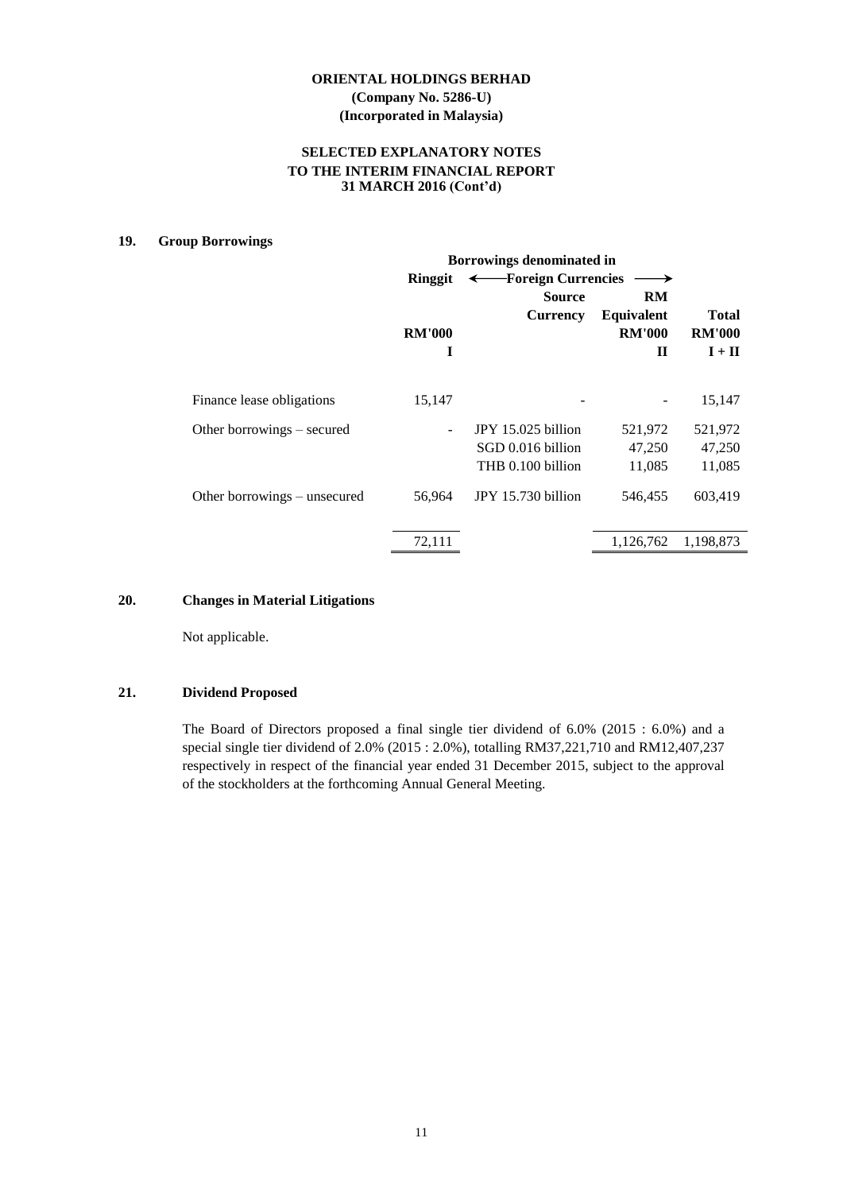#### **SELECTED EXPLANATORY NOTES TO THE INTERIM FINANCIAL REPORT 31 MARCH 2016 (Cont'd)**

#### **19. Group Borrowings**

|                              | <b>Borrowings denominated in</b> |                      |               |               |  |
|------------------------------|----------------------------------|----------------------|---------------|---------------|--|
|                              | Ringgit                          | - Foreign Currencies |               |               |  |
|                              |                                  | <b>Source</b>        | <b>RM</b>     |               |  |
|                              |                                  | <b>Currency</b>      | Equivalent    | <b>Total</b>  |  |
|                              | <b>RM'000</b>                    |                      | <b>RM'000</b> | <b>RM'000</b> |  |
|                              | I                                |                      | $\mathbf H$   | $I + II$      |  |
| Finance lease obligations    | 15,147                           |                      |               | 15,147        |  |
|                              |                                  |                      |               |               |  |
| Other borrowings – secured   |                                  | JPY 15.025 billion   | 521,972       | 521,972       |  |
|                              |                                  | SGD 0.016 billion    | 47,250        | 47,250        |  |
|                              |                                  | THB 0.100 billion    | 11,085        | 11,085        |  |
| Other borrowings – unsecured | 56,964                           | JPY 15.730 billion   | 546,455       | 603,419       |  |
|                              | 72,111                           |                      | 1,126,762     | 1,198,873     |  |

#### **20. Changes in Material Litigations**

Not applicable.

#### **21. Dividend Proposed**

The Board of Directors proposed a final single tier dividend of 6.0% (2015 : 6.0%) and a special single tier dividend of 2.0% (2015 : 2.0%), totalling RM37,221,710 and RM12,407,237 respectively in respect of the financial year ended 31 December 2015, subject to the approval of the stockholders at the forthcoming Annual General Meeting.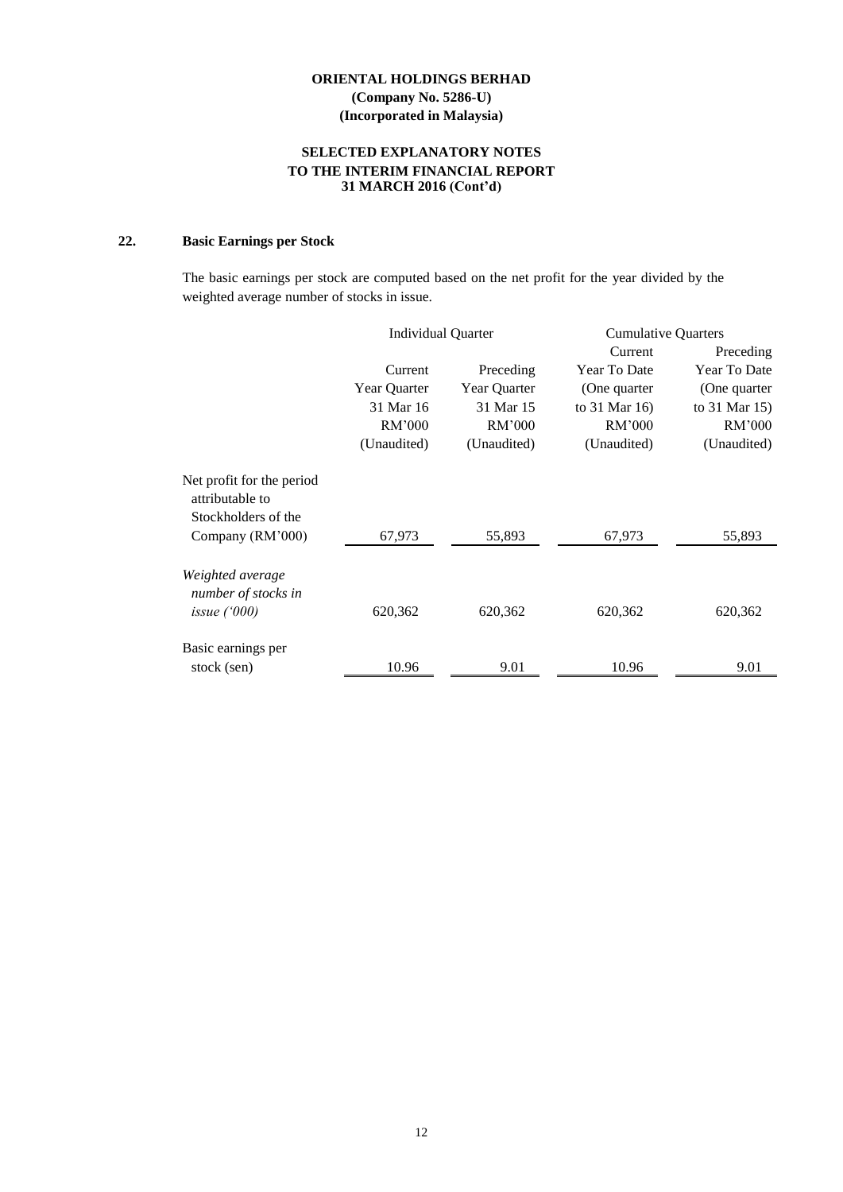#### **SELECTED EXPLANATORY NOTES TO THE INTERIM FINANCIAL REPORT 31 MARCH 2016 (Cont'd)**

# **22. Basic Earnings per Stock**

The basic earnings per stock are computed based on the net profit for the year divided by the weighted average number of stocks in issue.

|                                              | <b>Individual Quarter</b> |              | <b>Cumulative Quarters</b> |               |
|----------------------------------------------|---------------------------|--------------|----------------------------|---------------|
|                                              |                           |              | Current                    | Preceding     |
|                                              | Current                   | Preceding    | Year To Date               | Year To Date  |
|                                              | Year Quarter              | Year Quarter | (One quarter)              | (One quarter  |
|                                              | 31 Mar 16                 | 31 Mar 15    | to 31 Mar 16)              | to 31 Mar 15) |
|                                              | RM'000                    | RM'000       | RM'000                     | RM'000        |
|                                              | (Unaudited)               | (Unaudited)  | (Unaudited)                | (Unaudited)   |
| Net profit for the period<br>attributable to |                           |              |                            |               |
| Stockholders of the                          |                           |              |                            |               |
| Company (RM'000)                             | 67,973                    | 55,893       | 67,973                     | 55,893        |
| Weighted average<br>number of stocks in      |                           |              |                            |               |
| issue $(000)$                                | 620,362                   | 620,362      | 620,362                    | 620,362       |
| Basic earnings per                           |                           |              |                            |               |
| stock (sen)                                  | 10.96                     | 9.01         | 10.96                      | 9.01          |